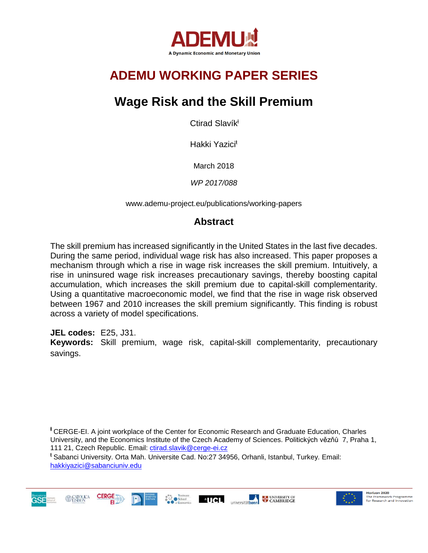

# **ADEMU WORKING PAPER SERIES**

# **Wage Risk and the Skill Premium**

Ctirad Slavík<sup>ł</sup>

Hakki Yazici<sup>ŧ</sup>

March 2018

*WP 2017/088*

www.ademu-project.eu/publications/working-papers

## **Abstract**

The skill premium has increased significantly in the United States in the last five decades. During the same period, individual wage risk has also increased. This paper proposes a mechanism through which a rise in wage risk increases the skill premium. Intuitively, a rise in uninsured wage risk increases precautionary savings, thereby boosting capital accumulation, which increases the skill premium due to capital-skill complementarity. Using a quantitative macroeconomic model, we find that the rise in wage risk observed between 1967 and 2010 increases the skill premium significantly. This finding is robust across a variety of model specifications.

**JEL codes:** E25, J31.

**CERGE** 

**Keywords:** Skill premium, wage risk, capital-skill complementarity, precautionary savings.

<sup>†</sup> CERGE-EI. A joint workplace of the Center for Economic Research and Graduate Education, Charles University, and the Economics Institute of the Czech Academy of Sciences. Politických vězňů 7, Praha 1, 111 21, Czech Republic. Email: [ctirad.slavik@cerge-ei.cz](mailto:ctirad.slavik@cerge-ei.cz)

 $^+$ UCL

**ELECTRIC CONTRACTES** UNIVERSITY OF

<sup>ŧ</sup> Sabanci University. Orta Mah. Universite Cad. No:27 34956, Orhanli, Istanbul, Turkey. Email: [hakkiyazici@sabanciuniv.edu](mailto:hakkiyazici@sabanciuniv.edu)



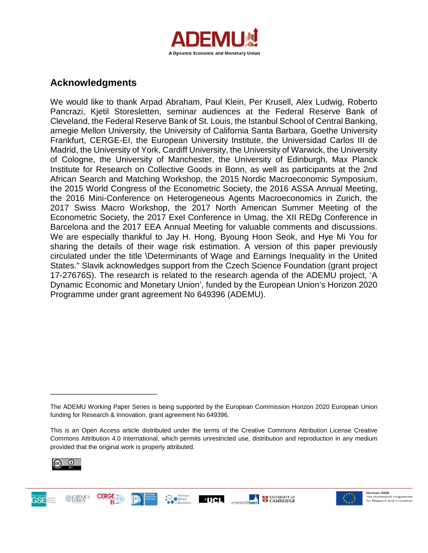

## **Acknowledgments**

We would like to thank Arpad Abraham, Paul Klein, Per Krusell, Alex Ludwig, Roberto Pancrazi, Kjetil Storesletten, seminar audiences at the Federal Reserve Bank of Cleveland, the Federal Reserve Bank of St. Louis, the Istanbul School of Central Banking, arnegie Mellon University, the University of California Santa Barbara, Goethe University Frankfurt, CERGE-EI, the European University Institute, the Universidad Carlos III de Madrid, the University of York, Cardiff University, the University of Warwick, the University of Cologne, the University of Manchester, the University of Edinburgh, Max Planck Institute for Research on Collective Goods in Bonn, as well as participants at the 2nd African Search and Matching Workshop, the 2015 Nordic Macroeconomic Symposium, the 2015 World Congress of the Econometric Society, the 2016 ASSA Annual Meeting, the 2016 Mini-Conference on Heterogeneous Agents Macroeconomics in Zurich, the 2017 Swiss Macro Workshop, the 2017 North American Summer Meeting of the Econometric Society, the 2017 Exel Conference in Umag, the XII REDg Conference in Barcelona and the 2017 EEA Annual Meeting for valuable comments and discussions. We are especially thankful to Jay H. Hong, Byoung Hoon Seok, and Hye Mi You for sharing the details of their wage risk estimation. A version of this paper previously circulated under the title \Determinants of Wage and Earnings Inequality in the United States." Slavik acknowledges support from the Czech Science Foundation (grant project 17-27676S). The research is related to the research agenda of the ADEMU project, 'A Dynamic Economic and Monetary Union', funded by the European Union's Horizon 2020 Programme under grant agreement No 649396 (ADEMU).

**AUCL** 

universitätbonn

**LA UNIVERSITY OF** 



\_\_\_\_\_\_\_\_\_\_\_\_\_\_\_\_\_\_\_\_\_\_\_\_\_





The ADEMU Working Paper Series is being supported by the European Commission Horizon 2020 European Union funding for Research & Innovation, grant agreement No 649396.

This is an Open Access article distributed under the terms of the Creative Commons Attribution License Creative Commons Attribution 4.0 International, which permits unrestricted use, distribution and reproduction in any medium provided that the original work is properly attributed.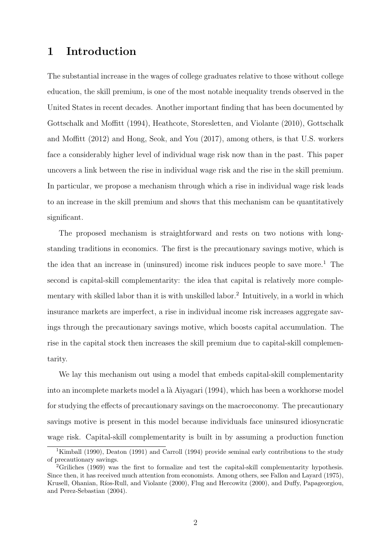## 1 Introduction

The substantial increase in the wages of college graduates relative to those without college education, the skill premium, is one of the most notable inequality trends observed in the United States in recent decades. Another important finding that has been documented by Gottschalk and Moffitt (1994), Heathcote, Storesletten, and Violante (2010), Gottschalk and Moffitt (2012) and Hong, Seok, and You (2017), among others, is that U.S. workers face a considerably higher level of individual wage risk now than in the past. This paper uncovers a link between the rise in individual wage risk and the rise in the skill premium. In particular, we propose a mechanism through which a rise in individual wage risk leads to an increase in the skill premium and shows that this mechanism can be quantitatively significant.

The proposed mechanism is straightforward and rests on two notions with longstanding traditions in economics. The first is the precautionary savings motive, which is the idea that an increase in (uninsured) income risk induces people to save more.<sup>1</sup> The second is capital-skill complementarity: the idea that capital is relatively more complementary with skilled labor than it is with unskilled labor.<sup>2</sup> Intuitively, in a world in which insurance markets are imperfect, a rise in individual income risk increases aggregate savings through the precautionary savings motive, which boosts capital accumulation. The rise in the capital stock then increases the skill premium due to capital-skill complementarity.

We lay this mechanism out using a model that embeds capital-skill complementarity into an incomplete markets model a là Aiyagari (1994), which has been a workhorse model for studying the effects of precautionary savings on the macroeconomy. The precautionary savings motive is present in this model because individuals face uninsured idiosyncratic wage risk. Capital-skill complementarity is built in by assuming a production function

<sup>&</sup>lt;sup>1</sup>Kimball (1990), Deaton (1991) and Carroll (1994) provide seminal early contributions to the study of precautionary savings.

<sup>&</sup>lt;sup>2</sup>Griliches (1969) was the first to formalize and test the capital-skill complementarity hypothesis. Since then, it has received much attention from economists. Among others, see Fallon and Layard (1975), Krusell, Ohanian, Ríos-Rull, and Violante (2000), Flug and Hercowitz (2000), and Duffy, Papageorgiou, and Perez-Sebastian (2004).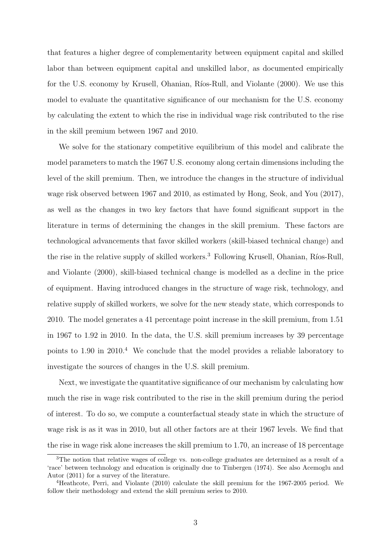that features a higher degree of complementarity between equipment capital and skilled labor than between equipment capital and unskilled labor, as documented empirically for the U.S. economy by Krusell, Ohanian, Ríos-Rull, and Violante (2000). We use this model to evaluate the quantitative significance of our mechanism for the U.S. economy by calculating the extent to which the rise in individual wage risk contributed to the rise in the skill premium between 1967 and 2010.

We solve for the stationary competitive equilibrium of this model and calibrate the model parameters to match the 1967 U.S. economy along certain dimensions including the level of the skill premium. Then, we introduce the changes in the structure of individual wage risk observed between 1967 and 2010, as estimated by Hong, Seok, and You (2017), as well as the changes in two key factors that have found significant support in the literature in terms of determining the changes in the skill premium. These factors are technological advancements that favor skilled workers (skill-biased technical change) and the rise in the relative supply of skilled workers.<sup>3</sup> Following Krusell, Ohanian, Ríos-Rull, and Violante (2000), skill-biased technical change is modelled as a decline in the price of equipment. Having introduced changes in the structure of wage risk, technology, and relative supply of skilled workers, we solve for the new steady state, which corresponds to 2010. The model generates a 41 percentage point increase in the skill premium, from 1.51 in 1967 to 1.92 in 2010. In the data, the U.S. skill premium increases by 39 percentage points to 1.90 in 2010.<sup>4</sup> We conclude that the model provides a reliable laboratory to investigate the sources of changes in the U.S. skill premium.

Next, we investigate the quantitative significance of our mechanism by calculating how much the rise in wage risk contributed to the rise in the skill premium during the period of interest. To do so, we compute a counterfactual steady state in which the structure of wage risk is as it was in 2010, but all other factors are at their 1967 levels. We find that the rise in wage risk alone increases the skill premium to 1.70, an increase of 18 percentage

<sup>&</sup>lt;sup>3</sup>The notion that relative wages of college vs. non-college graduates are determined as a result of a 'race' between technology and education is originally due to Tinbergen (1974). See also Acemoglu and Autor (2011) for a survey of the literature.

<sup>4</sup>Heathcote, Perri, and Violante (2010) calculate the skill premium for the 1967-2005 period. We follow their methodology and extend the skill premium series to 2010.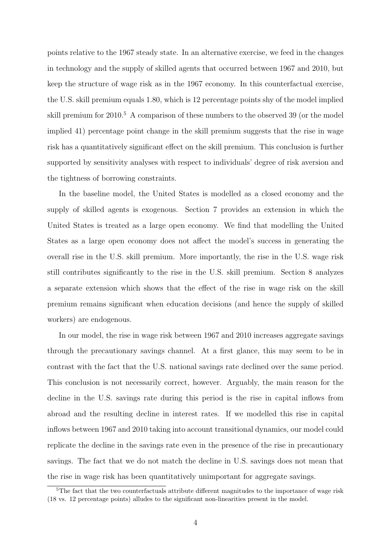points relative to the 1967 steady state. In an alternative exercise, we feed in the changes in technology and the supply of skilled agents that occurred between 1967 and 2010, but keep the structure of wage risk as in the 1967 economy. In this counterfactual exercise, the U.S. skill premium equals 1.80, which is 12 percentage points shy of the model implied skill premium for 2010.<sup>5</sup> A comparison of these numbers to the observed 39 (or the model implied 41) percentage point change in the skill premium suggests that the rise in wage risk has a quantitatively significant effect on the skill premium. This conclusion is further supported by sensitivity analyses with respect to individuals' degree of risk aversion and the tightness of borrowing constraints.

In the baseline model, the United States is modelled as a closed economy and the supply of skilled agents is exogenous. Section 7 provides an extension in which the United States is treated as a large open economy. We find that modelling the United States as a large open economy does not affect the model's success in generating the overall rise in the U.S. skill premium. More importantly, the rise in the U.S. wage risk still contributes significantly to the rise in the U.S. skill premium. Section 8 analyzes a separate extension which shows that the effect of the rise in wage risk on the skill premium remains significant when education decisions (and hence the supply of skilled workers) are endogenous.

In our model, the rise in wage risk between 1967 and 2010 increases aggregate savings through the precautionary savings channel. At a first glance, this may seem to be in contrast with the fact that the U.S. national savings rate declined over the same period. This conclusion is not necessarily correct, however. Arguably, the main reason for the decline in the U.S. savings rate during this period is the rise in capital inflows from abroad and the resulting decline in interest rates. If we modelled this rise in capital inflows between 1967 and 2010 taking into account transitional dynamics, our model could replicate the decline in the savings rate even in the presence of the rise in precautionary savings. The fact that we do not match the decline in U.S. savings does not mean that the rise in wage risk has been quantitatively unimportant for aggregate savings.

<sup>&</sup>lt;sup>5</sup>The fact that the two counterfactuals attribute different magnitudes to the importance of wage risk (18 vs. 12 percentage points) alludes to the significant non-linearities present in the model.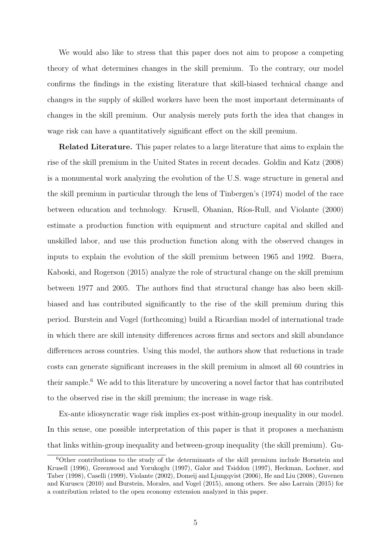We would also like to stress that this paper does not aim to propose a competing theory of what determines changes in the skill premium. To the contrary, our model confirms the findings in the existing literature that skill-biased technical change and changes in the supply of skilled workers have been the most important determinants of changes in the skill premium. Our analysis merely puts forth the idea that changes in wage risk can have a quantitatively significant effect on the skill premium.

Related Literature. This paper relates to a large literature that aims to explain the rise of the skill premium in the United States in recent decades. Goldin and Katz (2008) is a monumental work analyzing the evolution of the U.S. wage structure in general and the skill premium in particular through the lens of Tinbergen's (1974) model of the race between education and technology. Krusell, Ohanian, Ríos-Rull, and Violante (2000) estimate a production function with equipment and structure capital and skilled and unskilled labor, and use this production function along with the observed changes in inputs to explain the evolution of the skill premium between 1965 and 1992. Buera, Kaboski, and Rogerson (2015) analyze the role of structural change on the skill premium between 1977 and 2005. The authors find that structural change has also been skillbiased and has contributed significantly to the rise of the skill premium during this period. Burstein and Vogel (forthcoming) build a Ricardian model of international trade in which there are skill intensity differences across firms and sectors and skill abundance differences across countries. Using this model, the authors show that reductions in trade costs can generate significant increases in the skill premium in almost all 60 countries in their sample.<sup>6</sup> We add to this literature by uncovering a novel factor that has contributed to the observed rise in the skill premium; the increase in wage risk.

Ex-ante idiosyncratic wage risk implies ex-post within-group inequality in our model. In this sense, one possible interpretation of this paper is that it proposes a mechanism that links within-group inequality and between-group inequality (the skill premium). Gu-

 $6$ Other contributions to the study of the determinants of the skill premium include Hornstein and Krusell (1996), Greenwood and Yorukoglu (1997), Galor and Tsiddon (1997), Heckman, Lochner, and Taber (1998), Caselli (1999), Violante (2002), Domeij and Ljungqvist (2006), He and Liu (2008), Guvenen and Kuruscu (2010) and Burstein, Morales, and Vogel (2015), among others. See also Larrain (2015) for a contribution related to the open economy extension analyzed in this paper.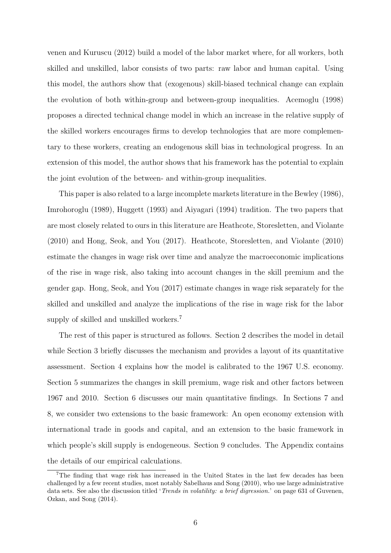venen and Kuruscu (2012) build a model of the labor market where, for all workers, both skilled and unskilled, labor consists of two parts: raw labor and human capital. Using this model, the authors show that (exogenous) skill-biased technical change can explain the evolution of both within-group and between-group inequalities. Acemoglu (1998) proposes a directed technical change model in which an increase in the relative supply of the skilled workers encourages firms to develop technologies that are more complementary to these workers, creating an endogenous skill bias in technological progress. In an extension of this model, the author shows that his framework has the potential to explain the joint evolution of the between- and within-group inequalities.

This paper is also related to a large incomplete markets literature in the Bewley (1986), Imrohoroglu (1989), Huggett (1993) and Aiyagari (1994) tradition. The two papers that are most closely related to ours in this literature are Heathcote, Storesletten, and Violante (2010) and Hong, Seok, and You (2017). Heathcote, Storesletten, and Violante (2010) estimate the changes in wage risk over time and analyze the macroeconomic implications of the rise in wage risk, also taking into account changes in the skill premium and the gender gap. Hong, Seok, and You (2017) estimate changes in wage risk separately for the skilled and unskilled and analyze the implications of the rise in wage risk for the labor supply of skilled and unskilled workers.<sup>7</sup>

The rest of this paper is structured as follows. Section 2 describes the model in detail while Section 3 briefly discusses the mechanism and provides a layout of its quantitative assessment. Section 4 explains how the model is calibrated to the 1967 U.S. economy. Section 5 summarizes the changes in skill premium, wage risk and other factors between 1967 and 2010. Section 6 discusses our main quantitative findings. In Sections 7 and 8, we consider two extensions to the basic framework: An open economy extension with international trade in goods and capital, and an extension to the basic framework in which people's skill supply is endogeneous. Section 9 concludes. The Appendix contains the details of our empirical calculations.

<sup>7</sup>The finding that wage risk has increased in the United States in the last few decades has been challenged by a few recent studies, most notably Sabelhaus and Song (2010), who use large administrative data sets. See also the discussion titled '*Trends in volatility: a brief digression*.' on page 631 of Guvenen, Ozkan, and Song (2014).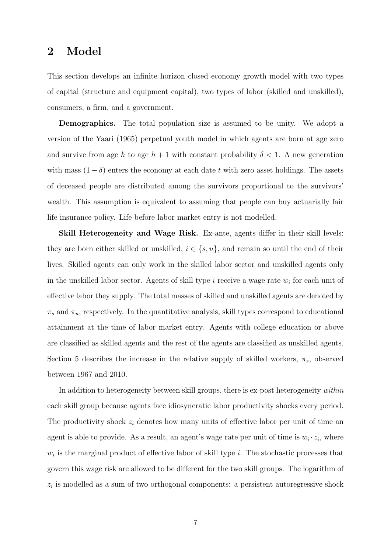## 2 Model

This section develops an infinite horizon closed economy growth model with two types of capital (structure and equipment capital), two types of labor (skilled and unskilled), consumers, a firm, and a government.

**Demographics.** The total population size is assumed to be unity. We adopt a version of the Yaari (1965) perpetual youth model in which agents are born at age zero and survive from age h to age  $h + 1$  with constant probability  $\delta < 1$ . A new generation with mass  $(1 - \delta)$  enters the economy at each date t with zero asset holdings. The assets of deceased people are distributed among the survivors proportional to the survivors' wealth. This assumption is equivalent to assuming that people can buy actuarially fair life insurance policy. Life before labor market entry is not modelled.

Skill Heterogeneity and Wage Risk. Ex-ante, agents differ in their skill levels: they are born either skilled or unskilled,  $i \in \{s, u\}$ , and remain so until the end of their lives. Skilled agents can only work in the skilled labor sector and unskilled agents only in the unskilled labor sector. Agents of skill type  $i$  receive a wage rate  $w_i$  for each unit of effective labor they supply. The total masses of skilled and unskilled agents are denoted by  $\pi_s$  and  $\pi_u$ , respectively. In the quantitative analysis, skill types correspond to educational attainment at the time of labor market entry. Agents with college education or above are classified as skilled agents and the rest of the agents are classified as unskilled agents. Section 5 describes the increase in the relative supply of skilled workers,  $\pi_s$ , observed between 1967 and 2010.

In addition to heterogeneity between skill groups, there is ex-post heterogeneity within each skill group because agents face idiosyncratic labor productivity shocks every period. The productivity shock  $z_i$  denotes how many units of effective labor per unit of time an agent is able to provide. As a result, an agent's wage rate per unit of time is  $w_i \cdot z_i$ , where  $w_i$  is the marginal product of effective labor of skill type i. The stochastic processes that govern this wage risk are allowed to be different for the two skill groups. The logarithm of  $z_i$  is modelled as a sum of two orthogonal components: a persistent autoregressive shock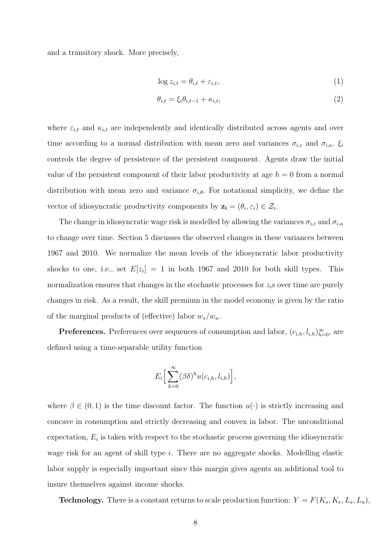and a transitory shock. More precisely,

$$
\log z_{i,t} = \theta_{i,t} + \varepsilon_{i,t},\tag{1}
$$

$$
\theta_{i,t} = \xi_i \theta_{i,t-1} + \kappa_{i,t},\tag{2}
$$

where  $\varepsilon_{i,t}$  and  $\kappa_{i,t}$  are independently and identically distributed across agents and over time according to a normal distribution with mean zero and variances  $\sigma_{i,\varepsilon}$  and  $\sigma_{i,\kappa}$ .  $\xi_i$ controls the degree of persistence of the persistent component. Agents draw the initial value of the persistent component of their labor productivity at age  $h = 0$  from a normal distribution with mean zero and variance  $\sigma_{i,\theta}$ . For notational simplicity, we define the vector of idiosyncratic productivity components by  $z_i = (\theta_i, \varepsilon_i) \in \mathcal{Z}_i$ .

The change in idiosyncratic wage risk is modelled by allowing the variances  $\sigma_{i,\varepsilon}$  and  $\sigma_{i,\kappa}$ to change over time. Section 5 discusses the observed changes in these variances between 1967 and 2010. We normalize the mean levels of the idiosyncratic labor productivity shocks to one, i.e., set  $E[z_i] = 1$  in both 1967 and 2010 for both skill types. This normalization ensures that changes in the stochastic processes for  $z_i$ s over time are purely changes in risk. As a result, the skill premium in the model economy is given by the ratio of the marginal products of (effective) labor  $w_s/w_u$ .

**Preferences.** Preferences over sequences of consumption and labor,  $(c_{i,h}, l_{i,h})_{h=0}^{\infty}$ , are defined using a time-separable utility function

$$
E_i\Big[\sum_{h=0}^{\infty}(\beta\delta)^h u(c_{i,h},l_{i,h})\Big],
$$

where  $\beta \in (0,1)$  is the time discount factor. The function  $u(\cdot)$  is strictly increasing and concave in consumption and strictly decreasing and convex in labor. The unconditional  $\alpha$  expectation,  $E_i$  is taken with respect to the stochastic process governing the idiosyncratic wage risk for an agent of skill type i. There are no aggregate shocks. Modelling elastic labor supply is especially important since this margin gives agents an additional tool to insure themselves against income shocks.

**Technology.** There is a constant returns to scale production function:  $Y = F(K_s, K_e, L_s, L_u)$ ,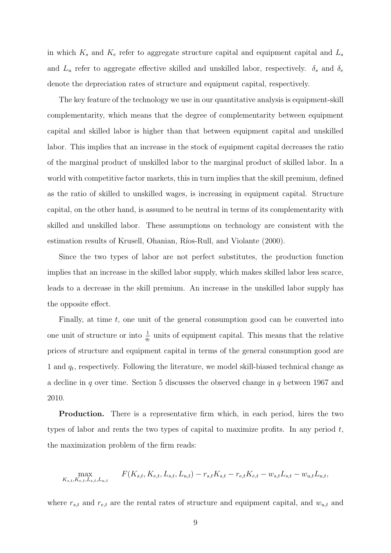in which  $K_s$  and  $K_e$  refer to aggregate structure capital and equipment capital and  $L_s$ and  $L_u$  refer to aggregate effective skilled and unskilled labor, respectively.  $\delta_s$  and  $\delta_e$ denote the depreciation rates of structure and equipment capital, respectively.

The key feature of the technology we use in our quantitative analysis is equipment-skill complementarity, which means that the degree of complementarity between equipment capital and skilled labor is higher than that between equipment capital and unskilled labor. This implies that an increase in the stock of equipment capital decreases the ratio of the marginal product of unskilled labor to the marginal product of skilled labor. In a world with competitive factor markets, this in turn implies that the skill premium, defined as the ratio of skilled to unskilled wages, is increasing in equipment capital. Structure capital, on the other hand, is assumed to be neutral in terms of its complementarity with skilled and unskilled labor. These assumptions on technology are consistent with the estimation results of Krusell, Ohanian, Ríos-Rull, and Violante (2000).

Since the two types of labor are not perfect substitutes, the production function implies that an increase in the skilled labor supply, which makes skilled labor less scarce, leads to a decrease in the skill premium. An increase in the unskilled labor supply has the opposite effect.

Finally, at time  $t$ , one unit of the general consumption good can be converted into one unit of structure or into  $\frac{1}{q_t}$  units of equipment capital. This means that the relative prices of structure and equipment capital in terms of the general consumption good are 1 and  $q_t$ , respectively. Following the literature, we model skill-biased technical change as a decline in q over time. Section 5 discusses the observed change in  $q$  between 1967 and 2010.

Production. There is a representative firm which, in each period, hires the two types of labor and rents the two types of capital to maximize profits. In any period  $t$ , the maximization problem of the firm reads:

$$
\max_{K_{s,t},K_{e,t},L_{s,t},L_{u,t}} \qquad F(K_{s,t},K_{e,t},L_{s,t},L_{u,t}) - r_{s,t}K_{s,t} - r_{e,t}K_{e,t} - w_{s,t}L_{s,t} - w_{u,t}L_{u,t},
$$

where  $r_{s,t}$  and  $r_{e,t}$  are the rental rates of structure and equipment capital, and  $w_{u,t}$  and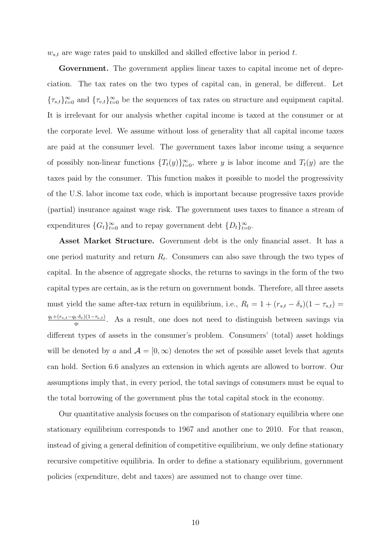$w_{s,t}$  are wage rates paid to unskilled and skilled effective labor in period t.

Government. The government applies linear taxes to capital income net of depreciation. The tax rates on the two types of capital can, in general, be different. Let  ${\{\tau_{s,t}\}}_{t=0}^{\infty}$  and  ${\{\tau_{e,t}\}}_{t=0}^{\infty}$  be the sequences of tax rates on structure and equipment capital. It is irrelevant for our analysis whether capital income is taxed at the consumer or at the corporate level. We assume without loss of generality that all capital income taxes are paid at the consumer level. The government taxes labor income using a sequence of possibly non-linear functions  $\{T_t(y)\}_{t=0}^{\infty}$ , where y is labor income and  $T_t(y)$  are the taxes paid by the consumer. This function makes it possible to model the progressivity of the U.S. labor income tax code, which is important because progressive taxes provide (partial) insurance against wage risk. The government uses taxes to finance a stream of expenditures  $\{G_t\}_{t=0}^{\infty}$  and to repay government debt  $\{D_t\}_{t=0}^{\infty}$ .

Asset Market Structure. Government debt is the only financial asset. It has a one period maturity and return  $R_t$ . Consumers can also save through the two types of capital. In the absence of aggregate shocks, the returns to savings in the form of the two capital types are certain, as is the return on government bonds. Therefore, all three assets must yield the same after-tax return in equilibrium, i.e.,  $R_t = 1 + (r_{s,t} - \delta_s)(1 - \tau_{s,t}) =$  $q_t+(r_{e,t}-q_t\cdot\delta_e)(1-\tau_{e,t})$  $\frac{q_t \cdot \delta_e(1-\tau_{e,t})}{q_t}$ . As a result, one does not need to distinguish between savings via different types of assets in the consumer's problem. Consumers' (total) asset holdings will be denoted by a and  $A = [0, \infty)$  denotes the set of possible asset levels that agents can hold. Section 6.6 analyzes an extension in which agents are allowed to borrow. Our assumptions imply that, in every period, the total savings of consumers must be equal to the total borrowing of the government plus the total capital stock in the economy.

Our quantitative analysis focuses on the comparison of stationary equilibria where one stationary equilibrium corresponds to 1967 and another one to 2010. For that reason, instead of giving a general definition of competitive equilibrium, we only define stationary recursive competitive equilibria. In order to define a stationary equilibrium, government policies (expenditure, debt and taxes) are assumed not to change over time.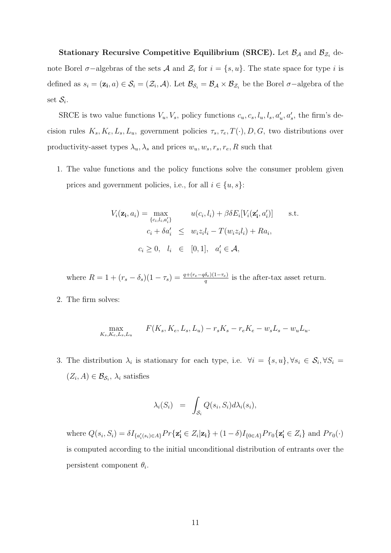Stationary Recursive Competitive Equilibrium (SRCE). Let  $\mathcal{B}_{\mathcal{A}}$  and  $\mathcal{B}_{\mathcal{Z}_i}$  denote Borel  $\sigma$ -algebras of the sets A and  $\mathcal{Z}_i$  for  $i = \{s, u\}$ . The state space for type i is defined as  $s_i = (\mathbf{z_i}, a) \in \mathcal{S}_i = (\mathcal{Z}_i, \mathcal{A})$ . Let  $\mathcal{B}_{\mathcal{S}_i} = \mathcal{B}_{\mathcal{A}} \times \mathcal{B}_{\mathcal{Z}_i}$  be the Borel  $\sigma$ -algebra of the set  $\mathcal{S}_i$ .

SRCE is two value functions  $V_u, V_s$ , policy functions  $c_u, c_s, l_u, l_s, a'_u, a'_s$ , the firm's decision rules  $K_s, K_e, L_s, L_u$ , government policies  $\tau_s, \tau_e, T(\cdot), D, G$ , two distributions over productivity-asset types  $\lambda_u$ ,  $\lambda_s$  and prices  $w_u$ ,  $w_s$ ,  $r_s$ ,  $r_e$ ,  $R$  such that

1. The value functions and the policy functions solve the consumer problem given prices and government policies, i.e., for all  $i \in \{u, s\}$ :

$$
V_i(\mathbf{z_i}, a_i) = \max_{\{c_i, l_i, a'_i\}} \qquad u(c_i, l_i) + \beta \delta E_i[V_i(\mathbf{z'_i}, a'_i)] \qquad \text{s.t.}
$$

$$
c_i + \delta a'_i \leq w_i z_i l_i - T(w_i z_i l_i) + R a_i,
$$

$$
c_i \geq 0, \quad l_i \in [0, 1], \quad a'_i \in \mathcal{A},
$$

where  $R = 1 + (r_s - \delta_s)(1 - \tau_s) = \frac{q + (r_e - q\delta_e)(1 - \tau_e)}{q}$  is the after-tax asset return.

2. The firm solves:

$$
\max_{K_s, K_e, L_s, L_u} \qquad F(K_s, K_e, L_s, L_u) - r_s K_s - r_e K_e - w_s L_s - w_u L_u.
$$

3. The distribution  $\lambda_i$  is stationary for each type, i.e.  $\forall i = \{s, u\}, \forall s_i \in \mathcal{S}_i, \forall S_i =$  $(Z_i, A) \in \mathcal{B}_{\mathcal{S}_i}, \lambda_i$  satisfies

$$
\lambda_i(S_i) = \int_{\mathcal{S}_i} Q(s_i, S_i) d\lambda_i(s_i),
$$

where  $Q(s_i, S_i) = \delta I_{\{a'_i(s_i) \in A\}} Pr\{z'_i \in Z_i | z_i\} + (1 - \delta) I_{\{0 \in A\}} Pr_0\{z'_i \in Z_i\}$  and  $Pr_0(\cdot)$ is computed according to the initial unconditional distribution of entrants over the persistent component  $\theta_i$ .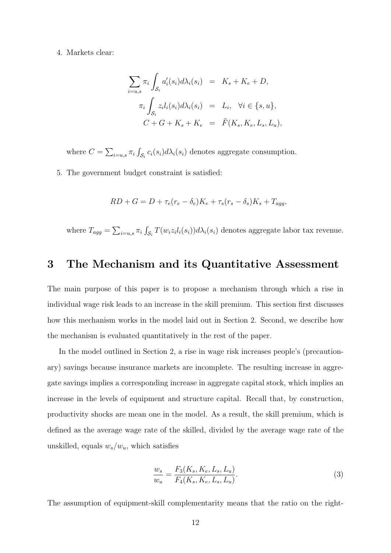#### 4. Markets clear:

$$
\sum_{i=u,s} \pi_i \int_{\mathcal{S}_i} a'_i(s_i) d\lambda_i(s_i) = K_s + K_e + D,
$$
  

$$
\pi_i \int_{\mathcal{S}_i} z_i l_i(s_i) d\lambda_i(s_i) = L_i, \quad \forall i \in \{s, u\},
$$
  

$$
C + G + K_s + K_e = \tilde{F}(K_s, K_e, L_s, L_u),
$$

where  $C = \sum_{i=u,s} \pi_i \int_{\mathcal{S}_i} c_i(s_i) d\lambda_i(s_i)$  denotes aggregate consumption.

5. The government budget constraint is satisfied:

$$
RD + G = D + \tau_e (r_e - \delta_e) K_e + \tau_s (r_s - \delta_s) K_s + T_{agg},
$$

where  $T_{agg} = \sum_{i=u,s} \pi_i \int_{\mathcal{S}_i} T(w_i z_i l_i(s_i)) d\lambda_i(s_i)$  denotes aggregate labor tax revenue.

### 3 The Mechanism and its Quantitative Assessment

The main purpose of this paper is to propose a mechanism through which a rise in individual wage risk leads to an increase in the skill premium. This section first discusses how this mechanism works in the model laid out in Section 2. Second, we describe how the mechanism is evaluated quantitatively in the rest of the paper.

In the model outlined in Section 2, a rise in wage risk increases people's (precautionary) savings because insurance markets are incomplete. The resulting increase in aggregate savings implies a corresponding increase in aggregate capital stock, which implies an increase in the levels of equipment and structure capital. Recall that, by construction, productivity shocks are mean one in the model. As a result, the skill premium, which is defined as the average wage rate of the skilled, divided by the average wage rate of the unskilled, equals  $w_s/w_u$ , which satisfies

$$
\frac{w_s}{w_u} = \frac{F_3(K_s, K_e, L_s, L_u)}{F_4(K_s, K_e, L_s, L_u)}.\tag{3}
$$

The assumption of equipment-skill complementarity means that the ratio on the right-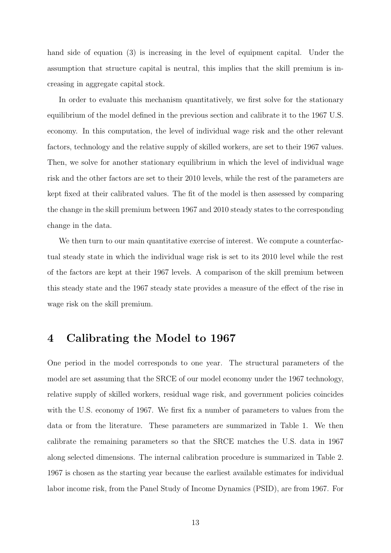hand side of equation (3) is increasing in the level of equipment capital. Under the assumption that structure capital is neutral, this implies that the skill premium is increasing in aggregate capital stock.

In order to evaluate this mechanism quantitatively, we first solve for the stationary equilibrium of the model defined in the previous section and calibrate it to the 1967 U.S. economy. In this computation, the level of individual wage risk and the other relevant factors, technology and the relative supply of skilled workers, are set to their 1967 values. Then, we solve for another stationary equilibrium in which the level of individual wage risk and the other factors are set to their 2010 levels, while the rest of the parameters are kept fixed at their calibrated values. The fit of the model is then assessed by comparing the change in the skill premium between 1967 and 2010 steady states to the corresponding change in the data.

We then turn to our main quantitative exercise of interest. We compute a counterfactual steady state in which the individual wage risk is set to its 2010 level while the rest of the factors are kept at their 1967 levels. A comparison of the skill premium between this steady state and the 1967 steady state provides a measure of the effect of the rise in wage risk on the skill premium.

## 4 Calibrating the Model to 1967

One period in the model corresponds to one year. The structural parameters of the model are set assuming that the SRCE of our model economy under the 1967 technology, relative supply of skilled workers, residual wage risk, and government policies coincides with the U.S. economy of 1967. We first fix a number of parameters to values from the data or from the literature. These parameters are summarized in Table 1. We then calibrate the remaining parameters so that the SRCE matches the U.S. data in 1967 along selected dimensions. The internal calibration procedure is summarized in Table 2. 1967 is chosen as the starting year because the earliest available estimates for individual labor income risk, from the Panel Study of Income Dynamics (PSID), are from 1967. For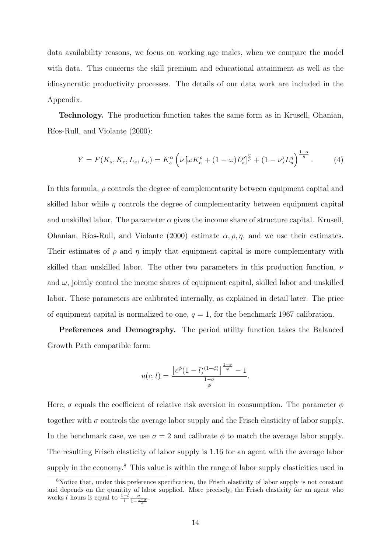data availability reasons, we focus on working age males, when we compare the model with data. This concerns the skill premium and educational attainment as well as the idiosyncratic productivity processes. The details of our data work are included in the Appendix.

Technology. The production function takes the same form as in Krusell, Ohanian, Ríos-Rull, and Violante (2000):

$$
Y = F(K_s, K_e, L_s, L_u) = K_s^{\alpha} \left( \nu \left[ \omega K_e^{\rho} + (1 - \omega) L_s^{\rho} \right]_P^{\frac{\eta}{\rho}} + (1 - \nu) L_u^{\eta} \right)^{\frac{1 - \alpha}{\eta}}.
$$
 (4)

In this formula,  $\rho$  controls the degree of complementarity between equipment capital and skilled labor while  $\eta$  controls the degree of complementarity between equipment capital and unskilled labor. The parameter  $\alpha$  gives the income share of structure capital. Krusell, Ohanian, Ríos-Rull, and Violante (2000) estimate  $\alpha$ ,  $\rho$ ,  $\eta$ , and we use their estimates. Their estimates of  $\rho$  and  $\eta$  imply that equipment capital is more complementary with skilled than unskilled labor. The other two parameters in this production function,  $\nu$ and  $\omega$ , jointly control the income shares of equipment capital, skilled labor and unskilled labor. These parameters are calibrated internally, as explained in detail later. The price of equipment capital is normalized to one,  $q = 1$ , for the benchmark 1967 calibration.

Preferences and Demography. The period utility function takes the Balanced Growth Path compatible form:

$$
u(c,l) = \frac{\left[c^{\phi}(1-l)^{(1-\phi)}\right]^{\frac{1-\sigma}{\phi}}-1}{\frac{1-\sigma}{\phi}}.
$$

Here,  $\sigma$  equals the coefficient of relative risk aversion in consumption. The parameter  $\phi$ together with  $\sigma$  controls the average labor supply and the Frisch elasticity of labor supply. In the benchmark case, we use  $\sigma = 2$  and calibrate  $\phi$  to match the average labor supply. The resulting Frisch elasticity of labor supply is 1.16 for an agent with the average labor supply in the economy.<sup>8</sup> This value is within the range of labor supply elasticities used in

<sup>8</sup>Notice that, under this preference specification, the Frisch elasticity of labor supply is not constant and depends on the quantity of labor supplied. More precisely, the Frisch elasticity for an agent who works l hours is equal to  $\frac{1-l}{l} \frac{\sigma}{1-\frac{1-\sigma}{\phi}}$ .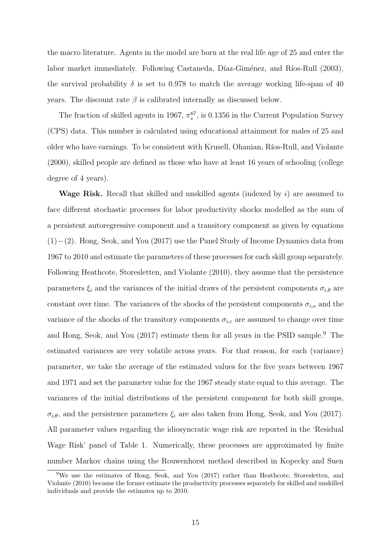the macro literature. Agents in the model are born at the real life age of 25 and enter the labor market immediately. Following Castaneda, Díaz-Giménez, and Ríos-Rull (2003), the survival probability  $\delta$  is set to 0.978 to match the average working life-span of 40 years. The discount rate  $\beta$  is calibrated internally as discussed below.

The fraction of skilled agents in 1967,  $\pi_s^{67}$ , is 0.1356 in the Current Population Survey (CPS) data. This number is calculated using educational attainment for males of 25 and older who have earnings. To be consistent with Krusell, Ohanian, Ríos-Rull, and Violante (2000), skilled people are defined as those who have at least 16 years of schooling (college degree of 4 years).

**Wage Risk.** Recall that skilled and unskilled agents (indexed by  $i$ ) are assumed to face different stochastic processes for labor productivity shocks modelled as the sum of a persistent autoregressive component and a transitory component as given by equations (1)−(2). Hong, Seok, and You (2017) use the Panel Study of Income Dynamics data from 1967 to 2010 and estimate the parameters of these processes for each skill group separately. Following Heathcote, Storesletten, and Violante (2010), they assume that the persistence parameters  $\xi_i$  and the variances of the initial draws of the persistent components  $\sigma_{i,\theta}$  are constant over time. The variances of the shocks of the persistent components  $\sigma_{i,\kappa}$  and the variance of the shocks of the transitory components  $\sigma_{i,\varepsilon}$  are assumed to change over time and Hong, Seok, and You (2017) estimate them for all years in the PSID sample.<sup>9</sup> The estimated variances are very volatile across years. For that reason, for each (variance) parameter, we take the average of the estimated values for the five years between 1967 and 1971 and set the parameter value for the 1967 steady state equal to this average. The variances of the initial distributions of the persistent component for both skill groups,  $\sigma_{i,\theta}$ , and the persistence parameters  $\xi_i$  are also taken from Hong, Seok, and You (2017). All parameter values regarding the idiosyncratic wage risk are reported in the 'Residual Wage Risk' panel of Table 1. Numerically, these processes are approximated by finite number Markov chains using the Rouwenhorst method described in Kopecky and Suen

<sup>&</sup>lt;sup>9</sup>We use the estimates of Hong, Seok, and You (2017) rather than Heathcote, Storesletten, and Violante (2010) because the former estimate the productivity processes separately for skilled and unskilled individuals and provide the estimates up to 2010.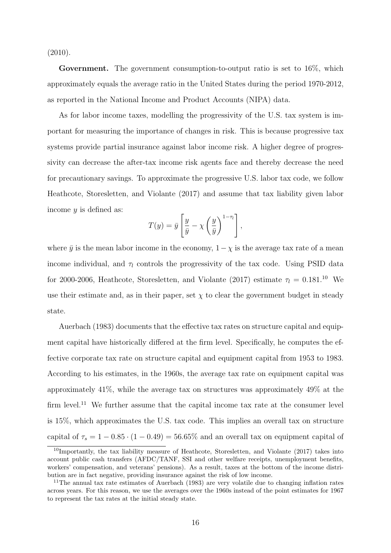(2010).

Government. The government consumption-to-output ratio is set to 16%, which approximately equals the average ratio in the United States during the period 1970-2012, as reported in the National Income and Product Accounts (NIPA) data.

As for labor income taxes, modelling the progressivity of the U.S. tax system is important for measuring the importance of changes in risk. This is because progressive tax systems provide partial insurance against labor income risk. A higher degree of progressivity can decrease the after-tax income risk agents face and thereby decrease the need for precautionary savings. To approximate the progressive U.S. labor tax code, we follow Heathcote, Storesletten, and Violante (2017) and assume that tax liability given labor income  $y$  is defined as:

$$
T(y) = \bar{y} \left[ \frac{y}{\bar{y}} - \chi \left( \frac{y}{\bar{y}} \right)^{1-\tau_1} \right],
$$

where  $\bar{y}$  is the mean labor income in the economy,  $1-\chi$  is the average tax rate of a mean income individual, and  $\tau_l$  controls the progressivity of the tax code. Using PSID data for 2000-2006, Heathcote, Storesletten, and Violante (2017) estimate  $\tau_l = 0.181$ .<sup>10</sup> We use their estimate and, as in their paper, set  $\chi$  to clear the government budget in steady state.

Auerbach (1983) documents that the effective tax rates on structure capital and equipment capital have historically differed at the firm level. Specifically, he computes the effective corporate tax rate on structure capital and equipment capital from 1953 to 1983. According to his estimates, in the 1960s, the average tax rate on equipment capital was approximately 41%, while the average tax on structures was approximately 49% at the firm level.<sup>11</sup> We further assume that the capital income tax rate at the consumer level is 15%, which approximates the U.S. tax code. This implies an overall tax on structure capital of  $\tau_s = 1 - 0.85 \cdot (1 - 0.49) = 56.65\%$  and an overall tax on equipment capital of

<sup>10</sup>Importantly, the tax liability measure of Heathcote, Storesletten, and Violante (2017) takes into account public cash transfers (AFDC/TANF, SSI and other welfare receipts, unemployment benefits, workers' compensation, and veterans' pensions). As a result, taxes at the bottom of the income distribution are in fact negative, providing insurance against the risk of low income.

<sup>&</sup>lt;sup>11</sup>The annual tax rate estimates of Auerbach (1983) are very volatile due to changing inflation rates across years. For this reason, we use the averages over the 1960s instead of the point estimates for 1967 to represent the tax rates at the initial steady state.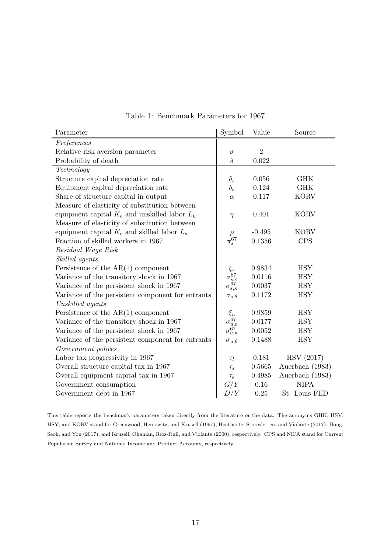| Parameter                                         | Symbol                                                            | Value          | Source            |
|---------------------------------------------------|-------------------------------------------------------------------|----------------|-------------------|
| Preferences                                       |                                                                   |                |                   |
| Relative risk aversion parameter                  | $\sigma$                                                          | $\overline{2}$ |                   |
| Probability of death                              | $\delta$                                                          | 0.022          |                   |
| Technology                                        |                                                                   |                |                   |
| Structure capital depreciation rate               | $\delta_s$                                                        | 0.056          | <b>GHK</b>        |
| Equipment capital depreciation rate               | $\delta_e$                                                        | 0.124          | <b>GHK</b>        |
| Share of structure capital in output              | $\alpha$                                                          | 0.117          | <b>KORV</b>       |
| Measure of elasticity of substitution between     |                                                                   |                |                   |
| equipment capital $K_e$ and unskilled labor $L_u$ | $\eta$                                                            | 0.401          | <b>KORV</b>       |
| Measure of elasticity of substitution between     |                                                                   |                |                   |
| equipment capital $K_e$ and skilled labor $L_s$   | $\rho$                                                            | $-0.495$       | <b>KORV</b>       |
| Fraction of skilled workers in 1967               | $\pi_s^{67}$                                                      | 0.1356         | CPS               |
| Residual Wage Risk                                |                                                                   |                |                   |
| Skilled agents                                    |                                                                   |                |                   |
| Persistence of the $AR(1)$ component              | $\xi_s$                                                           | 0.9834         | <b>HSY</b>        |
| Variance of the transitory shock in 1967          |                                                                   | 0.0116         | <b>HSY</b>        |
| Variance of the persistent shock in 1967          | $\sigma_{s,\varepsilon}^{\widetilde{67}}\ \sigma_{s,\kappa}^{67}$ | 0.0037         | <b>HSY</b>        |
| Variance of the persistent component for entrants | $\sigma_{s,\theta}$                                               | 0.1172         | <b>HSY</b>        |
| Unskilled agents                                  |                                                                   |                |                   |
| Persistence of the $AR(1)$ component              | $\xi_u$                                                           | 0.9859         | <b>HSY</b>        |
| Variance of the transitory shock in 1967          | $\sigma_{u,\varepsilon}^{67}$                                     | 0.0177         | <b>HSY</b>        |
| Variance of the persistent shock in 1967          | $\sigma_{u,\kappa}^{67}$                                          | 0.0052         | <b>HSY</b>        |
| Variance of the persistent component for entrants | $\sigma_{u,\theta}$                                               | 0.1488         | <b>HSY</b>        |
| Government polices                                |                                                                   |                |                   |
| Labor tax progressivity in 1967                   | $\tau_l$                                                          | 0.181          | <b>HSV</b> (2017) |
| Overall structure capital tax in 1967             | $\tau_s$                                                          | 0.5665         | Auerbach (1983)   |
| Overall equipment capital tax in 1967             | $\tau_e$                                                          | 0.4985         | Auerbach (1983)   |
| Government consumption                            | G/Y                                                               | 0.16           | <b>NIPA</b>       |
| Government debt in 1967                           | D/Y                                                               | 0.25           | St. Louis FED     |

#### Table 1: Benchmark Parameters for 1967

This table reports the benchmark parameters taken directly from the literature or the data. The acronyms GHK, HSV, HSY, and KORV stand for Greenwood, Hercowitz, and Krusell (1997), Heathcote, Storesletten, and Violante (2017), Hong, Seok, and You (2017), and Krusell, Ohanian, Ríos-Rull, and Violante (2000), respectively. CPS and NIPA stand for Current Population Survey and National Income and Product Accounts, respectively.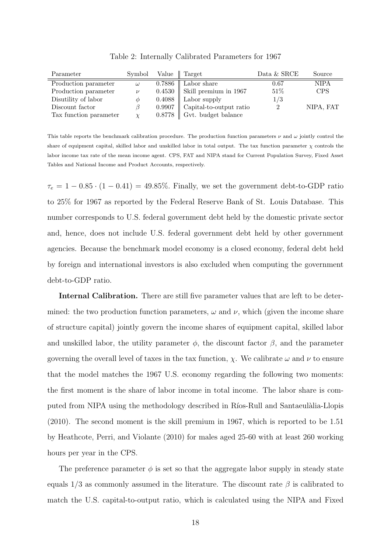| Parameter              | Symbol   | Value   Target                     | Data $&$ SRCE | Source    |
|------------------------|----------|------------------------------------|---------------|-----------|
| Production parameter   | $\omega$ | $0.7886$   Labor share             | 0.67          | NIPA      |
| Production parameter   | $\nu$    | 0.4530    Skill premium in 1967    | $51\%$        | CPS       |
| Disutility of labor    | Ø        | $0.4088$   Labor supply            | 1/3           |           |
| Discount factor        |          | $0.9907$   Capital-to-output ratio | 2             | NIPA, FAT |
| Tax function parameter |          | $0.8778$   Gvt. budget balance     |               |           |

Table 2: Internally Calibrated Parameters for 1967

This table reports the benchmark calibration procedure. The production function parameters  $\nu$  and  $\omega$  jointly control the share of equipment capital, skilled labor and unskilled labor in total output. The tax function parameter  $\chi$  controls the labor income tax rate of the mean income agent. CPS, FAT and NIPA stand for Current Population Survey, Fixed Asset Tables and National Income and Product Accounts, respectively.

 $\tau_e = 1 - 0.85 \cdot (1 - 0.41) = 49.85\%$ . Finally, we set the government debt-to-GDP ratio to 25% for 1967 as reported by the Federal Reserve Bank of St. Louis Database. This number corresponds to U.S. federal government debt held by the domestic private sector and, hence, does not include U.S. federal government debt held by other government agencies. Because the benchmark model economy is a closed economy, federal debt held by foreign and international investors is also excluded when computing the government debt-to-GDP ratio.

Internal Calibration. There are still five parameter values that are left to be determined: the two production function parameters,  $\omega$  and  $\nu$ , which (given the income share of structure capital) jointly govern the income shares of equipment capital, skilled labor and unskilled labor, the utility parameter  $\phi$ , the discount factor  $\beta$ , and the parameter governing the overall level of taxes in the tax function,  $\chi$ . We calibrate  $\omega$  and  $\nu$  to ensure that the model matches the 1967 U.S. economy regarding the following two moments: the first moment is the share of labor income in total income. The labor share is computed from NIPA using the methodology described in Ríos-Rull and Santaeulàlia-Llopis (2010). The second moment is the skill premium in 1967, which is reported to be 1.51 by Heathcote, Perri, and Violante (2010) for males aged 25-60 with at least 260 working hours per year in the CPS.

The preference parameter  $\phi$  is set so that the aggregate labor supply in steady state equals  $1/3$  as commonly assumed in the literature. The discount rate  $\beta$  is calibrated to match the U.S. capital-to-output ratio, which is calculated using the NIPA and Fixed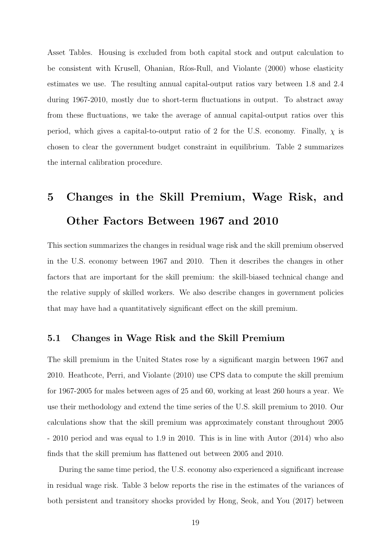Asset Tables. Housing is excluded from both capital stock and output calculation to be consistent with Krusell, Ohanian, Ríos-Rull, and Violante (2000) whose elasticity estimates we use. The resulting annual capital-output ratios vary between 1.8 and 2.4 during 1967-2010, mostly due to short-term fluctuations in output. To abstract away from these fluctuations, we take the average of annual capital-output ratios over this period, which gives a capital-to-output ratio of 2 for the U.S. economy. Finally,  $\chi$  is chosen to clear the government budget constraint in equilibrium. Table 2 summarizes the internal calibration procedure.

# 5 Changes in the Skill Premium, Wage Risk, and Other Factors Between 1967 and 2010

This section summarizes the changes in residual wage risk and the skill premium observed in the U.S. economy between 1967 and 2010. Then it describes the changes in other factors that are important for the skill premium: the skill-biased technical change and the relative supply of skilled workers. We also describe changes in government policies that may have had a quantitatively significant effect on the skill premium.

#### 5.1 Changes in Wage Risk and the Skill Premium

The skill premium in the United States rose by a significant margin between 1967 and 2010. Heathcote, Perri, and Violante (2010) use CPS data to compute the skill premium for 1967-2005 for males between ages of 25 and 60, working at least 260 hours a year. We use their methodology and extend the time series of the U.S. skill premium to 2010. Our calculations show that the skill premium was approximately constant throughout 2005 - 2010 period and was equal to 1.9 in 2010. This is in line with Autor (2014) who also finds that the skill premium has flattened out between 2005 and 2010.

During the same time period, the U.S. economy also experienced a significant increase in residual wage risk. Table 3 below reports the rise in the estimates of the variances of both persistent and transitory shocks provided by Hong, Seok, and You (2017) between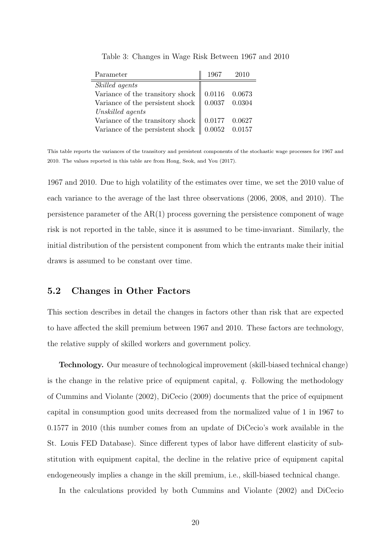| Parameter                                                                                           | 1967 | - 2010 |
|-----------------------------------------------------------------------------------------------------|------|--------|
| Skilled agents                                                                                      |      |        |
| Variance of the transitory shock $\begin{bmatrix} 0.0116 & 0.0673 \\ 0.0037 & 0.0304 \end{bmatrix}$ |      |        |
|                                                                                                     |      |        |
| $\label{thm:unstable} Unskilled\ agents$                                                            |      |        |
| Variance of the transitory shock $\parallel$ 0.0177 0.0627                                          |      |        |
| Variance of the persistent shock $\parallel$ 0.0052 0.0157                                          |      |        |

Table 3: Changes in Wage Risk Between 1967 and 2010

This table reports the variances of the transitory and persistent components of the stochastic wage processes for 1967 and 2010. The values reported in this table are from Hong, Seok, and You (2017).

1967 and 2010. Due to high volatility of the estimates over time, we set the 2010 value of each variance to the average of the last three observations (2006, 2008, and 2010). The persistence parameter of the AR(1) process governing the persistence component of wage risk is not reported in the table, since it is assumed to be time-invariant. Similarly, the initial distribution of the persistent component from which the entrants make their initial draws is assumed to be constant over time.

#### 5.2 Changes in Other Factors

This section describes in detail the changes in factors other than risk that are expected to have affected the skill premium between 1967 and 2010. These factors are technology, the relative supply of skilled workers and government policy.

Technology. Our measure of technological improvement (skill-biased technical change) is the change in the relative price of equipment capital,  $q$ . Following the methodology of Cummins and Violante (2002), DiCecio (2009) documents that the price of equipment capital in consumption good units decreased from the normalized value of 1 in 1967 to 0.1577 in 2010 (this number comes from an update of DiCecio's work available in the St. Louis FED Database). Since different types of labor have different elasticity of substitution with equipment capital, the decline in the relative price of equipment capital endogeneously implies a change in the skill premium, i.e., skill-biased technical change.

In the calculations provided by both Cummins and Violante (2002) and DiCecio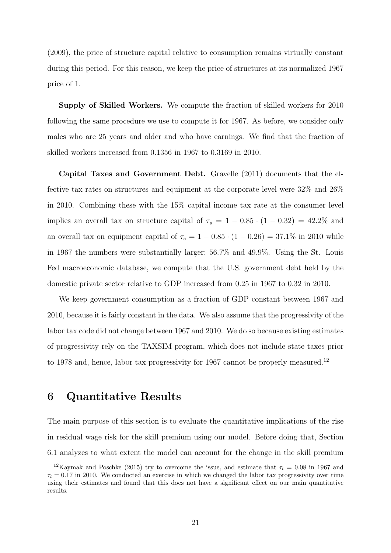(2009), the price of structure capital relative to consumption remains virtually constant during this period. For this reason, we keep the price of structures at its normalized 1967 price of 1.

Supply of Skilled Workers. We compute the fraction of skilled workers for 2010 following the same procedure we use to compute it for 1967. As before, we consider only males who are 25 years and older and who have earnings. We find that the fraction of skilled workers increased from 0.1356 in 1967 to 0.3169 in 2010.

Capital Taxes and Government Debt. Gravelle (2011) documents that the effective tax rates on structures and equipment at the corporate level were 32% and 26% in 2010. Combining these with the 15% capital income tax rate at the consumer level implies an overall tax on structure capital of  $\tau_s = 1 - 0.85 \cdot (1 - 0.32) = 42.2\%$  and an overall tax on equipment capital of  $\tau_e = 1 - 0.85 \cdot (1 - 0.26) = 37.1\%$  in 2010 while in 1967 the numbers were substantially larger; 56.7% and 49.9%. Using the St. Louis Fed macroeconomic database, we compute that the U.S. government debt held by the domestic private sector relative to GDP increased from 0.25 in 1967 to 0.32 in 2010.

We keep government consumption as a fraction of GDP constant between 1967 and 2010, because it is fairly constant in the data. We also assume that the progressivity of the labor tax code did not change between 1967 and 2010. We do so because existing estimates of progressivity rely on the TAXSIM program, which does not include state taxes prior to 1978 and, hence, labor tax progressivity for 1967 cannot be properly measured.<sup>12</sup>

## 6 Quantitative Results

The main purpose of this section is to evaluate the quantitative implications of the rise in residual wage risk for the skill premium using our model. Before doing that, Section 6.1 analyzes to what extent the model can account for the change in the skill premium

<sup>&</sup>lt;sup>12</sup>Kaymak and Poschke (2015) try to overcome the issue, and estimate that  $\tau_l = 0.08$  in 1967 and  $\tau_l = 0.17$  in 2010. We conducted an exercise in which we changed the labor tax progressivity over time using their estimates and found that this does not have a significant effect on our main quantitative results.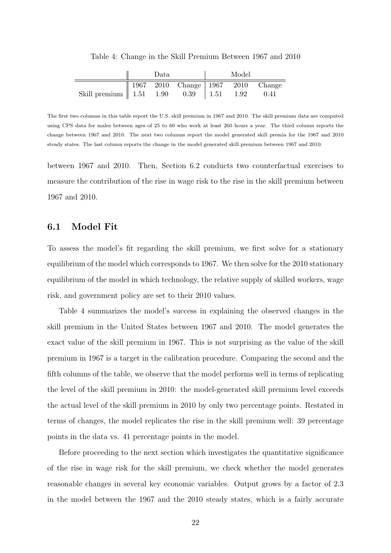|                                        | Data |                                             | Model |      |
|----------------------------------------|------|---------------------------------------------|-------|------|
|                                        |      | 1967   2010   Change   1967   2010   Change |       |      |
| Skill premium 1.51 1.90 0.39 1.51 1.92 |      |                                             |       | 0.41 |

Table 4: Change in the Skill Premium Between 1967 and 2010

The first two columns in this table report the U.S. skill premium in 1967 and 2010. The skill premium data are computed using CPS data for males between ages of 25 to 60 who work at least 260 hours a year. The third column reports the change between 1967 and 2010. The next two columns report the model generated skill premia for the 1967 and 2010 steady states. The last column reports the change in the model generated skill premium between 1967 and 2010.

between 1967 and 2010. Then, Section 6.2 conducts two counterfactual exercises to measure the contribution of the rise in wage risk to the rise in the skill premium between 1967 and 2010.

#### 6.1 Model Fit

To assess the model's fit regarding the skill premium, we first solve for a stationary equilibrium of the model which corresponds to 1967. We then solve for the 2010 stationary equilibrium of the model in which technology, the relative supply of skilled workers, wage risk, and government policy are set to their 2010 values.

Table 4 summarizes the model's success in explaining the observed changes in the skill premium in the United States between 1967 and 2010. The model generates the exact value of the skill premium in 1967. This is not surprising as the value of the skill premium in 1967 is a target in the calibration procedure. Comparing the second and the fifth columns of the table, we observe that the model performs well in terms of replicating the level of the skill premium in 2010: the model-generated skill premium level exceeds the actual level of the skill premium in 2010 by only two percentage points. Restated in terms of changes, the model replicates the rise in the skill premium well: 39 percentage points in the data vs. 41 percentage points in the model.

Before proceeding to the next section which investigates the quantitative significance of the rise in wage risk for the skill premium, we check whether the model generates reasonable changes in several key economic variables. Output grows by a factor of 2.3 in the model between the 1967 and the 2010 steady states, which is a fairly accurate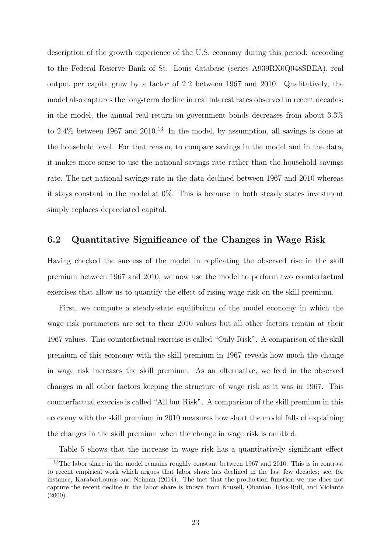description of the growth experience of the U.S. economy during this period: according to the Federal Reserve Bank of St. Louis database (series A939RX0Q048SBEA), real output per capita grew by a factor of 2.2 between 1967 and 2010. Qualitatively, the model also captures the long-term decline in real interest rates observed in recent decades: in the model, the annual real return on government bonds decreases from about 3.3% to  $2.4\%$  between 1967 and  $2010<sup>13</sup>$  In the model, by assumption, all savings is done at the household level. For that reason, to compare savings in the model and in the data, it makes more sense to use the national savings rate rather than the household savings rate. The net national savings rate in the data declined between 1967 and 2010 whereas it stays constant in the model at 0%. This is because in both steady states investment simply replaces depreciated capital.

#### 6.2 Quantitative Significance of the Changes in Wage Risk

Having checked the success of the model in replicating the observed rise in the skill premium between 1967 and 2010, we now use the model to perform two counterfactual exercises that allow us to quantify the effect of rising wage risk on the skill premium.

First, we compute a steady-state equilibrium of the model economy in which the wage risk parameters are set to their 2010 values but all other factors remain at their 1967 values. This counterfactual exercise is called "Only Risk". A comparison of the skill premium of this economy with the skill premium in 1967 reveals how much the change in wage risk increases the skill premium. As an alternative, we feed in the observed changes in all other factors keeping the structure of wage risk as it was in 1967. This counterfactual exercise is called "All but Risk". A comparison of the skill premium in this economy with the skill premium in 2010 measures how short the model falls of explaining the changes in the skill premium when the change in wage risk is omitted.

Table 5 shows that the increase in wage risk has a quantitatively significant effect

 $13$ The labor share in the model remains roughly constant between 1967 and 2010. This is in contrast to recent empirical work which argues that labor share has declined in the last few decades; see, for instance, Karabarbounis and Neiman (2014). The fact that the production function we use does not capture the recent decline in the labor share is known from Krusell, Ohanian, Ríos-Rull, and Violante  $(2000).$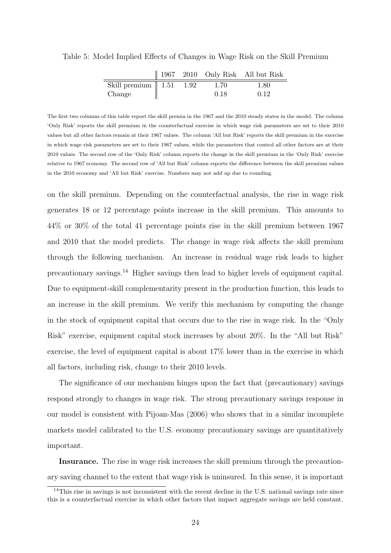|                                     |  |      | $\parallel$ 1967 2010 Only Risk All but Risk |
|-------------------------------------|--|------|----------------------------------------------|
| Skill premium $\parallel$ 1.51 1.92 |  | 1.70 | 1.80                                         |
| Change                              |  | 0.18 | 0.12                                         |

Table 5: Model Implied Effects of Changes in Wage Risk on the Skill Premium

The first two columns of this table report the skill premia in the 1967 and the 2010 steady states in the model. The column 'Only Risk' reports the skill premium in the counterfactual exercise in which wage risk parameters are set to their 2010 values but all other factors remain at their 1967 values. The column 'All but Risk' reports the skill premium in the exercise in which wage risk parameters are set to their 1967 values, while the parameters that control all other factors are at their 2010 values. The second row of the 'Only Risk' column reports the change in the skill premium in the 'Only Risk' exercise relative to 1967 economy. The second row of 'All but Risk' column reports the difference between the skill premium values in the 2010 economy and 'All but Risk' exercise. Numbers may not add up due to rounding.

on the skill premium. Depending on the counterfactual analysis, the rise in wage risk generates 18 or 12 percentage points increase in the skill premium. This amounts to 44% or 30% of the total 41 percentage points rise in the skill premium between 1967 and 2010 that the model predicts. The change in wage risk affects the skill premium through the following mechanism. An increase in residual wage risk leads to higher precautionary savings.<sup>14</sup> Higher savings then lead to higher levels of equipment capital. Due to equipment-skill complementarity present in the production function, this leads to an increase in the skill premium. We verify this mechanism by computing the change in the stock of equipment capital that occurs due to the rise in wage risk. In the "Only Risk" exercise, equipment capital stock increases by about 20%. In the "All but Risk" exercise, the level of equipment capital is about 17% lower than in the exercise in which all factors, including risk, change to their 2010 levels.

The significance of our mechanism hinges upon the fact that (precautionary) savings respond strongly to changes in wage risk. The strong precautionary savings response in our model is consistent with Pijoan-Mas (2006) who shows that in a similar incomplete markets model calibrated to the U.S. economy precautionary savings are quantitatively important.

Insurance. The rise in wage risk increases the skill premium through the precautionary saving channel to the extent that wage risk is uninsured. In this sense, it is important

<sup>&</sup>lt;sup>14</sup>This rise in savings is not inconsistent with the recent decline in the U.S. national savings rate since this is a counterfactual exercise in which other factors that impact aggregate savings are held constant.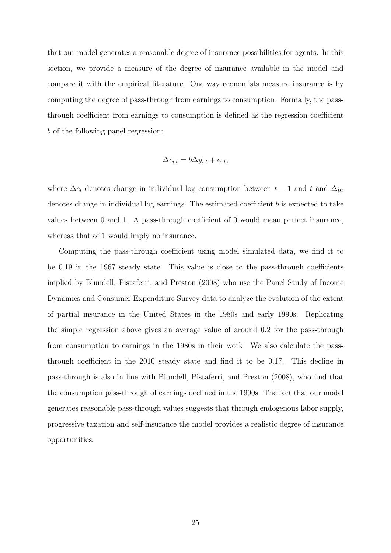that our model generates a reasonable degree of insurance possibilities for agents. In this section, we provide a measure of the degree of insurance available in the model and compare it with the empirical literature. One way economists measure insurance is by computing the degree of pass-through from earnings to consumption. Formally, the passthrough coefficient from earnings to consumption is defined as the regression coefficient b of the following panel regression:

$$
\Delta c_{i,t} = b\Delta y_{i,t} + \epsilon_{i,t},
$$

where  $\Delta c_t$  denotes change in individual log consumption between  $t-1$  and  $t$  and  $\Delta y_t$ denotes change in individual log earnings. The estimated coefficient  $b$  is expected to take values between 0 and 1. A pass-through coefficient of 0 would mean perfect insurance, whereas that of 1 would imply no insurance.

Computing the pass-through coefficient using model simulated data, we find it to be 0.19 in the 1967 steady state. This value is close to the pass-through coefficients implied by Blundell, Pistaferri, and Preston (2008) who use the Panel Study of Income Dynamics and Consumer Expenditure Survey data to analyze the evolution of the extent of partial insurance in the United States in the 1980s and early 1990s. Replicating the simple regression above gives an average value of around 0.2 for the pass-through from consumption to earnings in the 1980s in their work. We also calculate the passthrough coefficient in the 2010 steady state and find it to be 0.17. This decline in pass-through is also in line with Blundell, Pistaferri, and Preston (2008), who find that the consumption pass-through of earnings declined in the 1990s. The fact that our model generates reasonable pass-through values suggests that through endogenous labor supply, progressive taxation and self-insurance the model provides a realistic degree of insurance opportunities.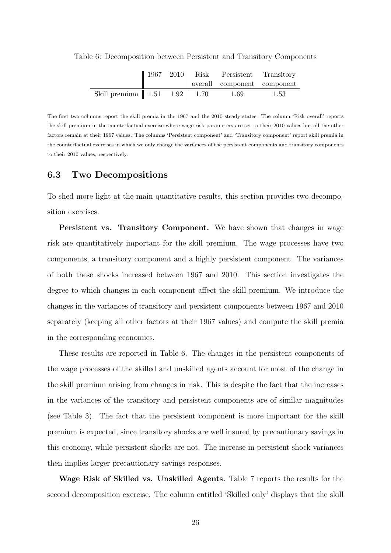|                                                      |  | $\parallel$ 1967 2010   Risk Persistent Transitory |      |
|------------------------------------------------------|--|----------------------------------------------------|------|
|                                                      |  | overall component component                        |      |
| $\overline{\text{Skill premium}}$   1.51 1.92   1.70 |  | - 1.69                                             | 1.53 |

Table 6: Decomposition between Persistent and Transitory Components

The first two columns report the skill premia in the 1967 and the 2010 steady states. The column 'Risk overall' reports the skill premium in the counterfactual exercise where wage risk parameters are set to their 2010 values but all the other factors remain at their 1967 values. The columns 'Persistent component' and 'Transitory component' report skill premia in the counterfactual exercises in which we only change the variances of the persistent components and transitory components to their 2010 values, respectively.

#### 6.3 Two Decompositions

To shed more light at the main quantitative results, this section provides two decomposition exercises.

Persistent vs. Transitory Component. We have shown that changes in wage risk are quantitatively important for the skill premium. The wage processes have two components, a transitory component and a highly persistent component. The variances of both these shocks increased between 1967 and 2010. This section investigates the degree to which changes in each component affect the skill premium. We introduce the changes in the variances of transitory and persistent components between 1967 and 2010 separately (keeping all other factors at their 1967 values) and compute the skill premia in the corresponding economies.

These results are reported in Table 6. The changes in the persistent components of the wage processes of the skilled and unskilled agents account for most of the change in the skill premium arising from changes in risk. This is despite the fact that the increases in the variances of the transitory and persistent components are of similar magnitudes (see Table 3). The fact that the persistent component is more important for the skill premium is expected, since transitory shocks are well insured by precautionary savings in this economy, while persistent shocks are not. The increase in persistent shock variances then implies larger precautionary savings responses.

Wage Risk of Skilled vs. Unskilled Agents. Table 7 reports the results for the second decomposition exercise. The column entitled 'Skilled only' displays that the skill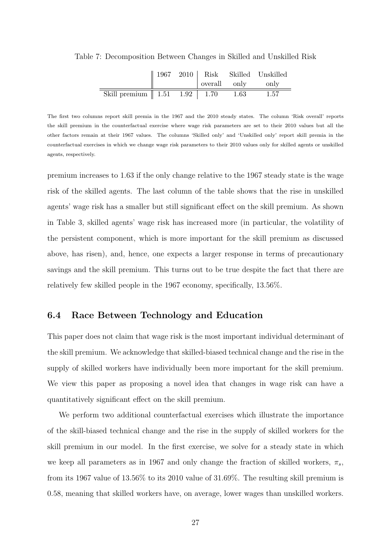|                                                           |  |                   | $\parallel$ 1967 2010   Risk Skilled Unskilled |
|-----------------------------------------------------------|--|-------------------|------------------------------------------------|
|                                                           |  | overall only only |                                                |
| Skill premium $\parallel$ 1.51 1.92 $\parallel$ 1.70 1.63 |  |                   | - 1.57                                         |

Table 7: Decomposition Between Changes in Skilled and Unskilled Risk

The first two columns report skill premia in the 1967 and the 2010 steady states. The column 'Risk overall' reports the skill premium in the counterfactual exercise where wage risk parameters are set to their 2010 values but all the other factors remain at their 1967 values. The columns 'Skilled only' and 'Unskilled only' report skill premia in the counterfactual exercises in which we change wage risk parameters to their 2010 values only for skilled agents or unskilled agents, respectively.

premium increases to 1.63 if the only change relative to the 1967 steady state is the wage risk of the skilled agents. The last column of the table shows that the rise in unskilled agents' wage risk has a smaller but still significant effect on the skill premium. As shown in Table 3, skilled agents' wage risk has increased more (in particular, the volatility of the persistent component, which is more important for the skill premium as discussed above, has risen), and, hence, one expects a larger response in terms of precautionary savings and the skill premium. This turns out to be true despite the fact that there are relatively few skilled people in the 1967 economy, specifically, 13.56%.

#### 6.4 Race Between Technology and Education

This paper does not claim that wage risk is the most important individual determinant of the skill premium. We acknowledge that skilled-biased technical change and the rise in the supply of skilled workers have individually been more important for the skill premium. We view this paper as proposing a novel idea that changes in wage risk can have a quantitatively significant effect on the skill premium.

We perform two additional counterfactual exercises which illustrate the importance of the skill-biased technical change and the rise in the supply of skilled workers for the skill premium in our model. In the first exercise, we solve for a steady state in which we keep all parameters as in 1967 and only change the fraction of skilled workers,  $\pi_s$ , from its 1967 value of 13.56% to its 2010 value of 31.69%. The resulting skill premium is 0.58, meaning that skilled workers have, on average, lower wages than unskilled workers.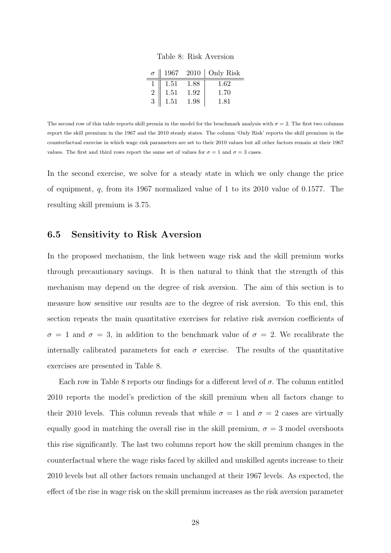Table 8: Risk Aversion

|                |      |      | $\sigma$   1967 2010   Only Risk |
|----------------|------|------|----------------------------------|
|                | 1.51 | 1.88 | 1.62                             |
| $\overline{2}$ | 1.51 | 1.92 | 1.70                             |
| 3              | 1.51 | 1.98 | 1.81                             |

The second row of this table reports skill premia in the model for the benchmark analysis with  $\sigma = 2$ . The first two columns report the skill premium in the 1967 and the 2010 steady states. The column 'Only Risk' reports the skill premium in the counterfactual exercise in which wage risk parameters are set to their 2010 values but all other factors remain at their 1967 values. The first and third rows report the same set of values for  $\sigma = 1$  and  $\sigma = 3$  cases.

In the second exercise, we solve for a steady state in which we only change the price of equipment, q, from its 1967 normalized value of 1 to its 2010 value of 0.1577. The resulting skill premium is 3.75.

#### 6.5 Sensitivity to Risk Aversion

In the proposed mechanism, the link between wage risk and the skill premium works through precautionary savings. It is then natural to think that the strength of this mechanism may depend on the degree of risk aversion. The aim of this section is to measure how sensitive our results are to the degree of risk aversion. To this end, this section repeats the main quantitative exercises for relative risk aversion coefficients of  $\sigma = 1$  and  $\sigma = 3$ , in addition to the benchmark value of  $\sigma = 2$ . We recalibrate the internally calibrated parameters for each  $\sigma$  exercise. The results of the quantitative exercises are presented in Table 8.

Each row in Table 8 reports our findings for a different level of  $\sigma$ . The column entitled 2010 reports the model's prediction of the skill premium when all factors change to their 2010 levels. This column reveals that while  $\sigma = 1$  and  $\sigma = 2$  cases are virtually equally good in matching the overall rise in the skill premium,  $\sigma = 3$  model overshoots this rise significantly. The last two columns report how the skill premium changes in the counterfactual where the wage risks faced by skilled and unskilled agents increase to their 2010 levels but all other factors remain unchanged at their 1967 levels. As expected, the effect of the rise in wage risk on the skill premium increases as the risk aversion parameter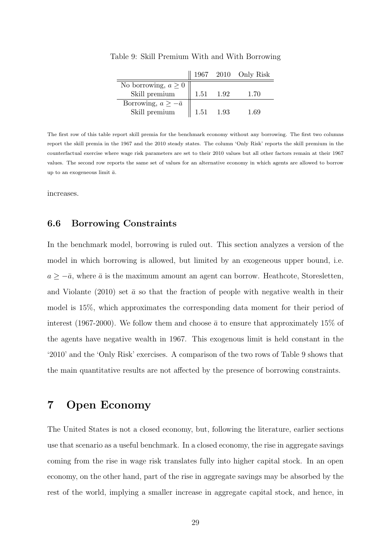|                              |           |           | 1967 2010 Only Risk |
|------------------------------|-----------|-----------|---------------------|
| No borrowing, $a \geq 0$     |           |           |                     |
| Skill premium                |           | 1.51 1.92 | 1.70                |
| Borrowing, $a \geq -\bar{a}$ |           |           |                     |
| Skill premium                | 1.51 1.93 |           | 1.69                |

Table 9: Skill Premium With and With Borrowing

The first row of this table report skill premia for the benchmark economy without any borrowing. The first two columns report the skill premia in the 1967 and the 2010 steady states. The column 'Only Risk' reports the skill premium in the counterfactual exercise where wage risk parameters are set to their 2010 values but all other factors remain at their 1967 values. The second row reports the same set of values for an alternative economy in which agents are allowed to borrow up to an exogeneous limit  $\bar{a}$ .

increases.

#### 6.6 Borrowing Constraints

In the benchmark model, borrowing is ruled out. This section analyzes a version of the model in which borrowing is allowed, but limited by an exogeneous upper bound, i.e.  $a \geq -\bar{a}$ , where  $\bar{a}$  is the maximum amount an agent can borrow. Heathcote, Storesletten, and Violante (2010) set  $\bar{a}$  so that the fraction of people with negative wealth in their model is 15%, which approximates the corresponding data moment for their period of interest (1967-2000). We follow them and choose  $\bar{a}$  to ensure that approximately 15% of the agents have negative wealth in 1967. This exogenous limit is held constant in the '2010' and the 'Only Risk' exercises. A comparison of the two rows of Table 9 shows that the main quantitative results are not affected by the presence of borrowing constraints.

## 7 Open Economy

The United States is not a closed economy, but, following the literature, earlier sections use that scenario as a useful benchmark. In a closed economy, the rise in aggregate savings coming from the rise in wage risk translates fully into higher capital stock. In an open economy, on the other hand, part of the rise in aggregate savings may be absorbed by the rest of the world, implying a smaller increase in aggregate capital stock, and hence, in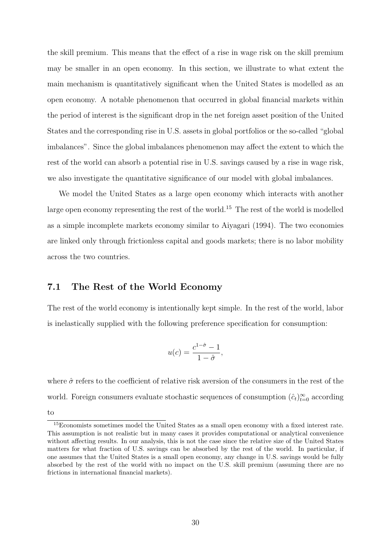the skill premium. This means that the effect of a rise in wage risk on the skill premium may be smaller in an open economy. In this section, we illustrate to what extent the main mechanism is quantitatively significant when the United States is modelled as an open economy. A notable phenomenon that occurred in global financial markets within the period of interest is the significant drop in the net foreign asset position of the United States and the corresponding rise in U.S. assets in global portfolios or the so-called "global imbalances". Since the global imbalances phenomenon may affect the extent to which the rest of the world can absorb a potential rise in U.S. savings caused by a rise in wage risk, we also investigate the quantitative significance of our model with global imbalances.

We model the United States as a large open economy which interacts with another large open economy representing the rest of the world.<sup>15</sup> The rest of the world is modelled as a simple incomplete markets economy similar to Aiyagari (1994). The two economies are linked only through frictionless capital and goods markets; there is no labor mobility across the two countries.

#### 7.1 The Rest of the World Economy

The rest of the world economy is intentionally kept simple. In the rest of the world, labor is inelastically supplied with the following preference specification for consumption:

$$
u(c) = \frac{c^{1-\hat{\sigma}} - 1}{1 - \hat{\sigma}},
$$

where  $\hat{\sigma}$  refers to the coefficient of relative risk aversion of the consumers in the rest of the world. Foreign consumers evaluate stochastic sequences of consumption  $(\hat{c}_t)_{t=0}^{\infty}$  according to

<sup>&</sup>lt;sup>15</sup>Economists sometimes model the United States as a small open economy with a fixed interest rate. This assumption is not realistic but in many cases it provides computational or analytical convenience without affecting results. In our analysis, this is not the case since the relative size of the United States matters for what fraction of U.S. savings can be absorbed by the rest of the world. In particular, if one assumes that the United States is a small open economy, any change in U.S. savings would be fully absorbed by the rest of the world with no impact on the U.S. skill premium (assuming there are no frictions in international financial markets).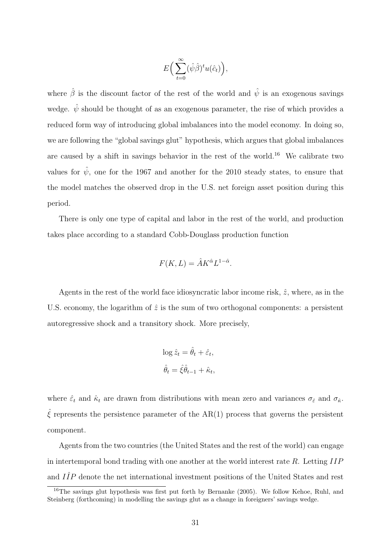$$
E\Big(\sum_{t=0}^{\infty}(\hat{\psi}\hat{\beta})^t u(\hat{c}_t)\Big),\,
$$

where  $\hat{\beta}$  is the discount factor of the rest of the world and  $\hat{\psi}$  is an exogenous savings wedge.  $\hat{\psi}$  should be thought of as an exogenous parameter, the rise of which provides a reduced form way of introducing global imbalances into the model economy. In doing so, we are following the "global savings glut" hypothesis, which argues that global imbalances are caused by a shift in savings behavior in the rest of the world.<sup>16</sup> We calibrate two values for  $\hat{\psi}$ , one for the 1967 and another for the 2010 steady states, to ensure that the model matches the observed drop in the U.S. net foreign asset position during this period.

There is only one type of capital and labor in the rest of the world, and production takes place according to a standard Cobb-Douglass production function

$$
F(K,L) = \hat{A}K^{\hat{\alpha}}L^{1-\hat{\alpha}}.
$$

Agents in the rest of the world face idiosyncratic labor income risk,  $\hat{z}$ , where, as in the U.S. economy, the logarithm of  $\hat{z}$  is the sum of two orthogonal components: a persistent autoregressive shock and a transitory shock. More precisely,

$$
\log \hat{z}_t = \hat{\theta}_t + \hat{\varepsilon}_t,
$$
  

$$
\hat{\theta}_t = \hat{\xi}\hat{\theta}_{t-1} + \hat{\kappa}_t,
$$

where  $\hat{\varepsilon}_t$  and  $\hat{\kappa}_t$  are drawn from distributions with mean zero and variances  $\sigma_{\hat{\varepsilon}}$  and  $\sigma_{\hat{\kappa}}$ .  $\hat{\xi}$  represents the persistence parameter of the AR(1) process that governs the persistent component.

Agents from the two countries (the United States and the rest of the world) can engage in intertemporal bond trading with one another at the world interest rate R. Letting  $IIP$ and  $I\hat{I}P$  denote the net international investment positions of the United States and rest

<sup>&</sup>lt;sup>16</sup>The savings glut hypothesis was first put forth by Bernanke (2005). We follow Kehoe, Ruhl, and Steinberg (forthcoming) in modelling the savings glut as a change in foreigners' savings wedge.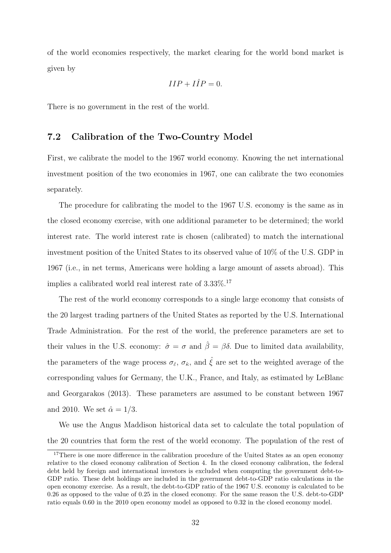of the world economies respectively, the market clearing for the world bond market is given by

$$
IIP + I\hat{I}P = 0.
$$

There is no government in the rest of the world.

#### 7.2 Calibration of the Two-Country Model

First, we calibrate the model to the 1967 world economy. Knowing the net international investment position of the two economies in 1967, one can calibrate the two economies separately.

The procedure for calibrating the model to the 1967 U.S. economy is the same as in the closed economy exercise, with one additional parameter to be determined; the world interest rate. The world interest rate is chosen (calibrated) to match the international investment position of the United States to its observed value of 10% of the U.S. GDP in 1967 (i.e., in net terms, Americans were holding a large amount of assets abroad). This implies a calibrated world real interest rate of 3.33%.<sup>17</sup>

The rest of the world economy corresponds to a single large economy that consists of the 20 largest trading partners of the United States as reported by the U.S. International Trade Administration. For the rest of the world, the preference parameters are set to their values in the U.S. economy:  $\hat{\sigma} = \sigma$  and  $\hat{\beta} = \beta \delta$ . Due to limited data availability, the parameters of the wage process  $\sigma_{\hat{\epsilon}}, \sigma_{\hat{\kappa}},$  and  $\hat{\xi}$  are set to the weighted average of the corresponding values for Germany, the U.K., France, and Italy, as estimated by LeBlanc and Georgarakos (2013). These parameters are assumed to be constant between 1967 and 2010. We set  $\hat{\alpha} = 1/3$ .

We use the Angus Maddison historical data set to calculate the total population of the 20 countries that form the rest of the world economy. The population of the rest of

<sup>&</sup>lt;sup>17</sup>There is one more difference in the calibration procedure of the United States as an open economy relative to the closed economy calibration of Section 4. In the closed economy calibration, the federal debt held by foreign and international investors is excluded when computing the government debt-to-GDP ratio. These debt holdings are included in the government debt-to-GDP ratio calculations in the open economy exercise. As a result, the debt-to-GDP ratio of the 1967 U.S. economy is calculated to be 0.26 as opposed to the value of 0.25 in the closed economy. For the same reason the U.S. debt-to-GDP ratio equals 0.60 in the 2010 open economy model as opposed to 0.32 in the closed economy model.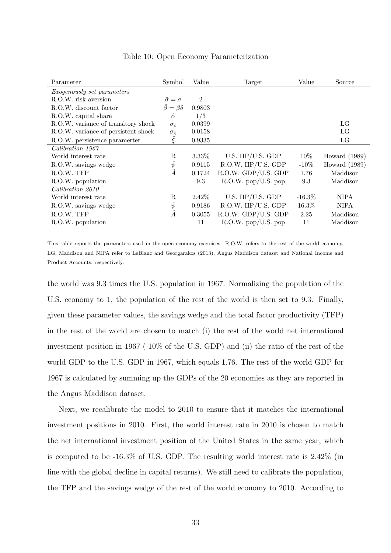| Parameter                           | Symbol                       | Value          | Target              | Value     | Source          |
|-------------------------------------|------------------------------|----------------|---------------------|-----------|-----------------|
| <i>Exogenously set parameters</i>   |                              |                |                     |           |                 |
| R.O.W. risk aversion                | $\hat{\sigma} = \sigma$      | $\overline{2}$ |                     |           |                 |
| R.O.W. discount factor              | $\hat{\beta} = \beta \delta$ | 0.9803         |                     |           |                 |
| R.O.W. capital share                | $\hat{\alpha}$               | 1/3            |                     |           |                 |
| R.O.W. variance of transitory shock | $\sigma_{\hat{\epsilon}}$    | 0.0399         |                     |           | LG              |
| R.O.W. variance of persistent shock | $\sigma_{\hat{\kappa}}$      | 0.0158         |                     |           | LG              |
| R.O.W. persistence parameter        |                              | 0.9335         |                     |           | LG              |
| Calibration 1967                    |                              |                |                     |           |                 |
| World interest rate                 | R                            | 3.33%          | U.S. IIP/U.S. GDP   | $10\%$    | Howard $(1989)$ |
| R.O.W. savings wedge                | $\psi$                       | 0.9115         | R.O.W. IIP/U.S. GDP | $-10\%$   | Howard $(1989)$ |
| R.O.W. TFP                          | $\hat{A}$                    | 0.1724         | R.O.W. GDP/U.S. GDP | 1.76      | Maddison        |
| R.O.W. population                   |                              | 9.3            | R.O.W. pop/U.S. pop | 9.3       | Maddison        |
| Calibration 2010                    |                              |                |                     |           |                 |
| World interest rate                 | R                            | 2.42\%         | U.S. IIP/U.S. GDP   | $-16.3\%$ | <b>NIPA</b>     |
| R.O.W. savings wedge                | $\psi$                       | 0.9186         | R.O.W. IIP/U.S. GDP | 16.3%     | <b>NIPA</b>     |
| R.O.W. TFP                          | Â                            | 0.3055         | R.O.W. GDP/U.S. GDP | 2.25      | Maddison        |
| R.O.W. population                   |                              | 11             | R.O.W. pop/U.S. pop | 11        | Maddison        |

Table 10: Open Economy Parameterization

This table reports the parameters used in the open economy exercises. R.O.W. refers to the rest of the world economy. LG, Maddison and NIPA refer to LeBlanc and Georgarakos (2013), Angus Maddison dataset and National Income and Product Accounts, respectively.

the world was 9.3 times the U.S. population in 1967. Normalizing the population of the U.S. economy to 1, the population of the rest of the world is then set to 9.3. Finally, given these parameter values, the savings wedge and the total factor productivity (TFP) in the rest of the world are chosen to match (i) the rest of the world net international investment position in 1967 (-10% of the U.S. GDP) and (ii) the ratio of the rest of the world GDP to the U.S. GDP in 1967, which equals 1.76. The rest of the world GDP for 1967 is calculated by summing up the GDPs of the 20 economies as they are reported in the Angus Maddison dataset.

Next, we recalibrate the model to 2010 to ensure that it matches the international investment positions in 2010. First, the world interest rate in 2010 is chosen to match the net international investment position of the United States in the same year, which is computed to be -16.3% of U.S. GDP. The resulting world interest rate is 2.42% (in line with the global decline in capital returns). We still need to calibrate the population, the TFP and the savings wedge of the rest of the world economy to 2010. According to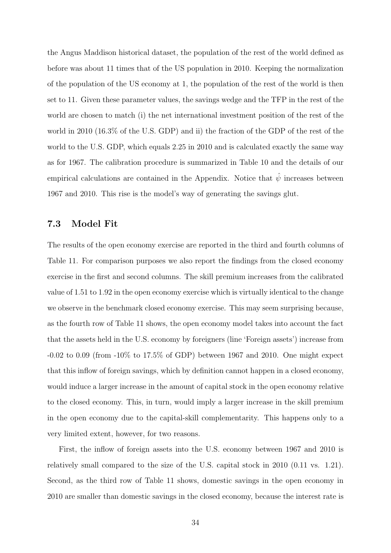the Angus Maddison historical dataset, the population of the rest of the world defined as before was about 11 times that of the US population in 2010. Keeping the normalization of the population of the US economy at 1, the population of the rest of the world is then set to 11. Given these parameter values, the savings wedge and the TFP in the rest of the world are chosen to match (i) the net international investment position of the rest of the world in 2010 (16.3% of the U.S. GDP) and ii) the fraction of the GDP of the rest of the world to the U.S. GDP, which equals 2.25 in 2010 and is calculated exactly the same way as for 1967. The calibration procedure is summarized in Table 10 and the details of our empirical calculations are contained in the Appendix. Notice that  $\hat{\psi}$  increases between 1967 and 2010. This rise is the model's way of generating the savings glut.

#### 7.3 Model Fit

The results of the open economy exercise are reported in the third and fourth columns of Table 11. For comparison purposes we also report the findings from the closed economy exercise in the first and second columns. The skill premium increases from the calibrated value of 1.51 to 1.92 in the open economy exercise which is virtually identical to the change we observe in the benchmark closed economy exercise. This may seem surprising because, as the fourth row of Table 11 shows, the open economy model takes into account the fact that the assets held in the U.S. economy by foreigners (line 'Foreign assets') increase from -0.02 to 0.09 (from -10% to 17.5% of GDP) between 1967 and 2010. One might expect that this inflow of foreign savings, which by definition cannot happen in a closed economy, would induce a larger increase in the amount of capital stock in the open economy relative to the closed economy. This, in turn, would imply a larger increase in the skill premium in the open economy due to the capital-skill complementarity. This happens only to a very limited extent, however, for two reasons.

First, the inflow of foreign assets into the U.S. economy between 1967 and 2010 is relatively small compared to the size of the U.S. capital stock in 2010 (0.11 vs. 1.21). Second, as the third row of Table 11 shows, domestic savings in the open economy in 2010 are smaller than domestic savings in the closed economy, because the interest rate is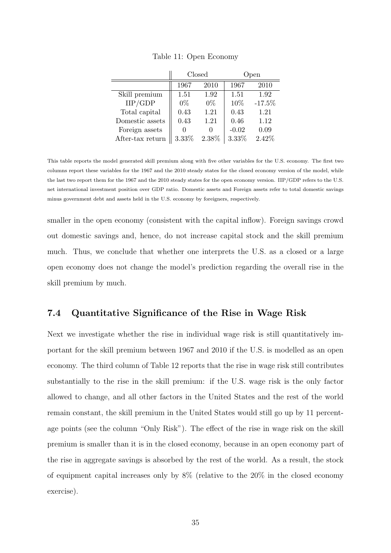|                  |       | Closed       | Open    |          |  |
|------------------|-------|--------------|---------|----------|--|
|                  | 1967  | 2010         | 1967    | 2010     |  |
| Skill premium    | 1.51  | 1.92         | 1.51    | 1.92     |  |
| IIP/GDP          | $0\%$ | $0\%$        | 10%     | $-17.5%$ |  |
| Total capital    | 0.43  | 1.21         | 0.43    | 1.21     |  |
| Domestic assets  | 0.43  | 1.21         | 0.46    | 1.12     |  |
| Foreign assets   |       | $\mathbf{0}$ | $-0.02$ | 0.09     |  |
| After-tax return | 3.33% | 2.38%        | 3.33%   | 2.42%    |  |

Table 11: Open Economy

This table reports the model generated skill premium along with five other variables for the U.S. economy. The first two columns report these variables for the 1967 and the 2010 steady states for the closed economy version of the model, while the last two report them for the 1967 and the 2010 steady states for the open economy version. IIP/GDP refers to the U.S. net international investment position over GDP ratio. Domestic assets and Foreign assets refer to total domestic savings minus government debt and assets held in the U.S. economy by foreigners, respectively.

smaller in the open economy (consistent with the capital inflow). Foreign savings crowd out domestic savings and, hence, do not increase capital stock and the skill premium much. Thus, we conclude that whether one interprets the U.S. as a closed or a large open economy does not change the model's prediction regarding the overall rise in the skill premium by much.

#### 7.4 Quantitative Significance of the Rise in Wage Risk

Next we investigate whether the rise in individual wage risk is still quantitatively important for the skill premium between 1967 and 2010 if the U.S. is modelled as an open economy. The third column of Table 12 reports that the rise in wage risk still contributes substantially to the rise in the skill premium: if the U.S. wage risk is the only factor allowed to change, and all other factors in the United States and the rest of the world remain constant, the skill premium in the United States would still go up by 11 percentage points (see the column "Only Risk"). The effect of the rise in wage risk on the skill premium is smaller than it is in the closed economy, because in an open economy part of the rise in aggregate savings is absorbed by the rest of the world. As a result, the stock of equipment capital increases only by 8% (relative to the 20% in the closed economy exercise).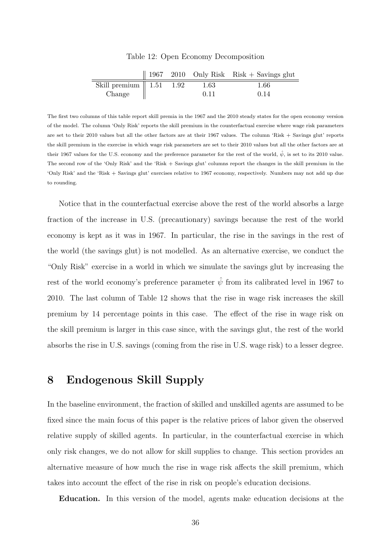|                                     |  |      | 1967 – 2010 – Only Risk – Risk + Savings glut |
|-------------------------------------|--|------|-----------------------------------------------|
| Skill premium $\parallel$ 1.51 1.92 |  | 1.63 | 1.66                                          |
| Change                              |  | 0.11 | 0.14                                          |

Table 12: Open Economy Decomposition

The first two columns of this table report skill premia in the 1967 and the 2010 steady states for the open economy version of the model. The column 'Only Risk' reports the skill premium in the counterfactual exercise where wage risk parameters are set to their 2010 values but all the other factors are at their 1967 values. The column 'Risk + Savings glut' reports the skill premium in the exercise in which wage risk parameters are set to their 2010 values but all the other factors are at their 1967 values for the U.S. economy and the preference parameter for the rest of the world,  $\hat{\psi}$ , is set to its 2010 value. The second row of the 'Only Risk' and the 'Risk + Savings glut' columns report the changes in the skill premium in the 'Only Risk' and the 'Risk + Savings glut' exercises relative to 1967 economy, respectively. Numbers may not add up due to rounding.

Notice that in the counterfactual exercise above the rest of the world absorbs a large fraction of the increase in U.S. (precautionary) savings because the rest of the world economy is kept as it was in 1967. In particular, the rise in the savings in the rest of the world (the savings glut) is not modelled. As an alternative exercise, we conduct the "Only Risk" exercise in a world in which we simulate the savings glut by increasing the rest of the world economy's preference parameter  $\hat{\psi}$  from its calibrated level in 1967 to 2010. The last column of Table 12 shows that the rise in wage risk increases the skill premium by 14 percentage points in this case. The effect of the rise in wage risk on the skill premium is larger in this case since, with the savings glut, the rest of the world absorbs the rise in U.S. savings (coming from the rise in U.S. wage risk) to a lesser degree.

## 8 Endogenous Skill Supply

In the baseline environment, the fraction of skilled and unskilled agents are assumed to be fixed since the main focus of this paper is the relative prices of labor given the observed relative supply of skilled agents. In particular, in the counterfactual exercise in which only risk changes, we do not allow for skill supplies to change. This section provides an alternative measure of how much the rise in wage risk affects the skill premium, which takes into account the effect of the rise in risk on people's education decisions.

Education. In this version of the model, agents make education decisions at the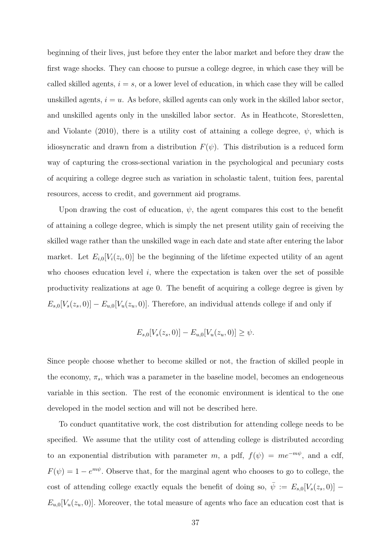beginning of their lives, just before they enter the labor market and before they draw the first wage shocks. They can choose to pursue a college degree, in which case they will be called skilled agents,  $i = s$ , or a lower level of education, in which case they will be called unskilled agents,  $i = u$ . As before, skilled agents can only work in the skilled labor sector, and unskilled agents only in the unskilled labor sector. As in Heathcote, Storesletten, and Violante (2010), there is a utility cost of attaining a college degree,  $\psi$ , which is idiosyncratic and drawn from a distribution  $F(\psi)$ . This distribution is a reduced form way of capturing the cross-sectional variation in the psychological and pecuniary costs of acquiring a college degree such as variation in scholastic talent, tuition fees, parental resources, access to credit, and government aid programs.

Upon drawing the cost of education,  $\psi$ , the agent compares this cost to the benefit of attaining a college degree, which is simply the net present utility gain of receiving the skilled wage rather than the unskilled wage in each date and state after entering the labor market. Let  $E_{i,0}[V_i(z_i,0)]$  be the beginning of the lifetime expected utility of an agent who chooses education level  $i$ , where the expectation is taken over the set of possible productivity realizations at age 0. The benefit of acquiring a college degree is given by  $E_{s,0}[V_s(z_s, 0)] - E_{u,0}[V_u(z_u, 0)]$ . Therefore, an individual attends college if and only if

$$
E_{s,0}[V_s(z_s, 0)] - E_{u,0}[V_u(z_u, 0)] \ge \psi.
$$

Since people choose whether to become skilled or not, the fraction of skilled people in the economy,  $\pi_s$ , which was a parameter in the baseline model, becomes an endogeneous variable in this section. The rest of the economic environment is identical to the one developed in the model section and will not be described here.

To conduct quantitative work, the cost distribution for attending college needs to be specified. We assume that the utility cost of attending college is distributed according to an exponential distribution with parameter m, a pdf,  $f(\psi) = me^{-m\psi}$ , and a cdf,  $F(\psi) = 1 - e^{m\psi}$ . Observe that, for the marginal agent who chooses to go to college, the cost of attending college exactly equals the benefit of doing so,  $\overline{\psi} := E_{s,0}[V_s(z_s, 0)]$  $E_{u,0}[V_u(z_u, 0)]$ . Moreover, the total measure of agents who face an education cost that is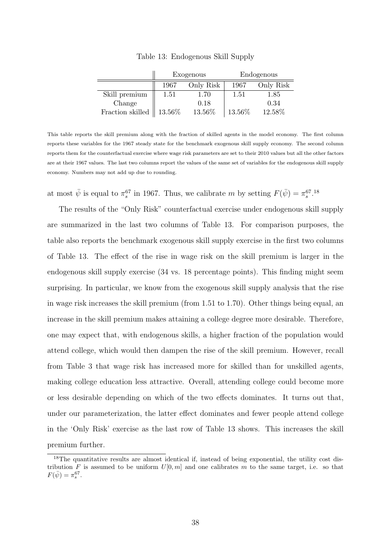|                                   | Exogenous |           | Endogenous |           |
|-----------------------------------|-----------|-----------|------------|-----------|
|                                   | 1967      | Only Risk | 1967       | Only Risk |
| Skill premium                     | 1.51      | 1.70      | 1.51       | 1.85      |
| Change                            |           | 0.18      |            | 0.34      |
| $\operatorname{Fraction}$ skilled | 13.56%    | 13.56%    | 13.56%     | 12.58%    |

Table 13: Endogenous Skill Supply

This table reports the skill premium along with the fraction of skilled agents in the model economy. The first column reports these variables for the 1967 steady state for the benchmark exogenous skill supply economy. The second column reports them for the counterfactual exercise where wage risk parameters are set to their 2010 values but all the other factors are at their 1967 values. The last two columns report the values of the same set of variables for the endogenous skill supply economy. Numbers may not add up due to rounding.

at most  $\bar{\psi}$  is equal to  $\pi_s^{67}$  in 1967. Thus, we calibrate m by setting  $F(\bar{\psi}) = \pi_s^{67}$ .<sup>18</sup>

The results of the "Only Risk" counterfactual exercise under endogenous skill supply are summarized in the last two columns of Table 13. For comparison purposes, the table also reports the benchmark exogenous skill supply exercise in the first two columns of Table 13. The effect of the rise in wage risk on the skill premium is larger in the endogenous skill supply exercise (34 vs. 18 percentage points). This finding might seem surprising. In particular, we know from the exogenous skill supply analysis that the rise in wage risk increases the skill premium (from 1.51 to 1.70). Other things being equal, an increase in the skill premium makes attaining a college degree more desirable. Therefore, one may expect that, with endogenous skills, a higher fraction of the population would attend college, which would then dampen the rise of the skill premium. However, recall from Table 3 that wage risk has increased more for skilled than for unskilled agents, making college education less attractive. Overall, attending college could become more or less desirable depending on which of the two effects dominates. It turns out that, under our parameterization, the latter effect dominates and fewer people attend college in the 'Only Risk' exercise as the last row of Table 13 shows. This increases the skill premium further.

<sup>&</sup>lt;sup>18</sup>The quantitative results are almost identical if, instead of being exponential, the utility cost distribution F is assumed to be uniform  $U[0, m]$  and one calibrates m to the same target, i.e. so that  $F(\bar{\psi}) = \pi_s^{67}$ .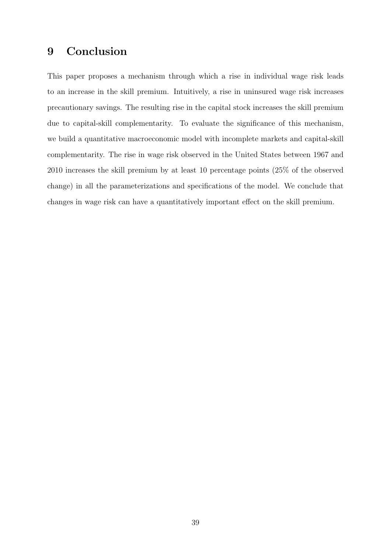## 9 Conclusion

This paper proposes a mechanism through which a rise in individual wage risk leads to an increase in the skill premium. Intuitively, a rise in uninsured wage risk increases precautionary savings. The resulting rise in the capital stock increases the skill premium due to capital-skill complementarity. To evaluate the significance of this mechanism, we build a quantitative macroeconomic model with incomplete markets and capital-skill complementarity. The rise in wage risk observed in the United States between 1967 and 2010 increases the skill premium by at least 10 percentage points (25% of the observed change) in all the parameterizations and specifications of the model. We conclude that changes in wage risk can have a quantitatively important effect on the skill premium.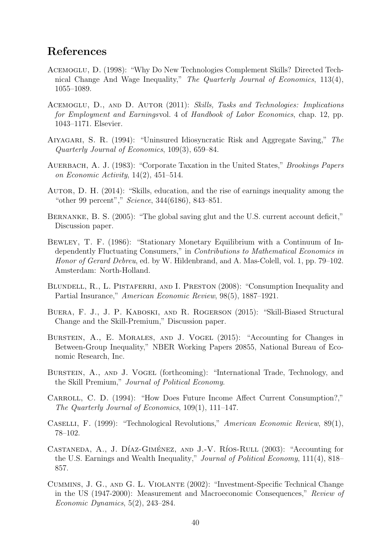## References

- Acemoglu, D. (1998): "Why Do New Technologies Complement Skills? Directed Technical Change And Wage Inequality," The Quarterly Journal of Economics, 113(4), 1055–1089.
- ACEMOGLU, D., AND D. AUTOR (2011): Skills, Tasks and Technologies: Implications for Employment and Earningsvol. 4 of Handbook of Labor Economics, chap. 12, pp. 1043–1171. Elsevier.
- Aiyagari, S. R. (1994): "Uninsured Idiosyncratic Risk and Aggregate Saving," The Quarterly Journal of Economics, 109(3), 659–84.
- AUERBACH, A. J. (1983): "Corporate Taxation in the United States," *Brookings Papers* on Economic Activity, 14(2), 451–514.
- AUTOR, D. H. (2014): "Skills, education, and the rise of earnings inequality among the "other 99 percent"," Science, 344(6186), 843–851.
- BERNANKE, B. S. (2005): "The global saving glut and the U.S. current account deficit," Discussion paper.
- Bewley, T. F. (1986): "Stationary Monetary Equilibrium with a Continuum of Independently Fluctuating Consumers," in Contributions to Mathematical Economics in Honor of Gerard Debreu, ed. by W. Hildenbrand, and A. Mas-Colell, vol. 1, pp. 79–102. Amsterdam: North-Holland.
- BLUNDELL, R., L. PISTAFERRI, AND I. PRESTON (2008): "Consumption Inequality and Partial Insurance," American Economic Review, 98(5), 1887–1921.
- Buera, F. J., J. P. Kaboski, and R. Rogerson (2015): "Skill-Biased Structural Change and the Skill-Premium," Discussion paper.
- BURSTEIN, A., E. MORALES, AND J. VOGEL (2015): "Accounting for Changes in Between-Group Inequality," NBER Working Papers 20855, National Bureau of Economic Research, Inc.
- BURSTEIN, A., AND J. VOGEL (forthcoming): "International Trade, Technology, and the Skill Premium," Journal of Political Economy.
- CARROLL, C. D. (1994): "How Does Future Income Affect Current Consumption?," The Quarterly Journal of Economics, 109(1), 111–147.
- Caselli, F. (1999): "Technological Revolutions," American Economic Review, 89(1), 78–102.
- CASTANEDA, A., J. DÍAZ-GIMÉNEZ, AND J.-V. RÍOS-RULL  $(2003)$ : "Accounting for the U.S. Earnings and Wealth Inequality," Journal of Political Economy, 111(4), 818– 857.
- Cummins, J. G., and G. L. Violante (2002): "Investment-Specific Technical Change in the US (1947-2000): Measurement and Macroeconomic Consequences," Review of Economic Dynamics, 5(2), 243–284.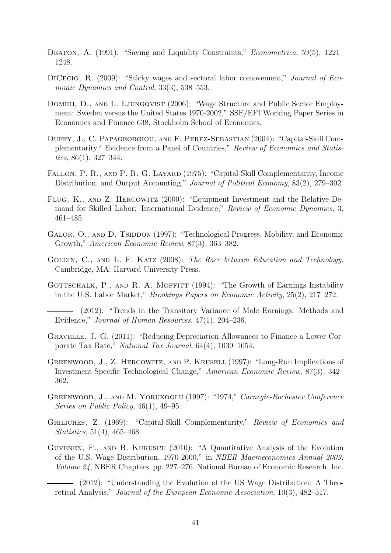- DEATON, A. (1991): "Saving and Liquidity Constraints," *Econometrica*, 59(5), 1221– 1248.
- DICECIO, R. (2009): "Sticky wages and sectoral labor comovement," Journal of Economic Dynamics and Control, 33(3), 538–553.
- DOMEIJ, D., AND L. LJUNGQVIST (2006): "Wage Structure and Public Sector Employment: Sweden versus the United States 1970-2002," SSE/EFI Working Paper Series in Economics and Finance 638, Stockholm School of Economics.
- Duffy, J., C. Papageorgiou, and F. Perez-Sebastian (2004): "Capital-Skill Complementarity? Evidence from a Panel of Countries," Review of Economics and Statistics,  $86(1)$ ,  $327-344$ .
- Fallon, P. R., and P. R. G. Layard (1975): "Capital-Skill Complementarity, Income Distribution, and Output Accounting," *Journal of Political Economy*, 83(2), 279–302.
- Flug, K., and Z. Hercowitz (2000): "Equipment Investment and the Relative Demand for Skilled Labor: International Evidence," Review of Economic Dynamics, 3, 461–485.
- GALOR, O., AND D. TSIDDON (1997): "Technological Progress, Mobility, and Economic Growth," American Economic Review, 87(3), 363–382.
- GOLDIN, C., AND L. F. KATZ (2008): The Race between Education and Technology. Cambridge, MA: Harvard University Press.
- GOTTSCHALK, P., AND R. A. MOFFITT (1994): "The Growth of Earnings Instability in the U.S. Labor Market," Brookings Papers on Economic Activity, 25(2), 217–272.
- (2012): "Trends in the Transitory Variance of Male Earnings: Methods and Evidence," Journal of Human Resources, 47(1), 204–236.
- Gravelle, J. G. (2011): "Reducing Depreciation Allowances to Finance a Lower Corporate Tax Rate," National Tax Journal, 64(4), 1039–1054.
- Greenwood, J., Z. Hercowitz, and P. Krusell (1997): "Long-Run Implications of Investment-Specific Technological Change," American Economic Review, 87(3), 342– 362.
- Greenwood, J., and M. Yorukoglu (1997): "1974," Carnegie-Rochester Conference Series on Public Policy, 46(1), 49–95.
- Griliches, Z. (1969): "Capital-Skill Complementarity," Review of Economics and Statistics, 51(4), 465–468.
- Guvenen, F., and B. Kuruscu (2010): "A Quantitative Analysis of the Evolution of the U.S. Wage Distribution, 1970-2000," in NBER Macroeconomics Annual 2009, Volume 24, NBER Chapters, pp. 227–276. National Bureau of Economic Research, Inc.

(2012): "Understanding the Evolution of the US Wage Distribution: A Theoretical Analysis," Journal of the European Economic Association, 10(3), 482–517.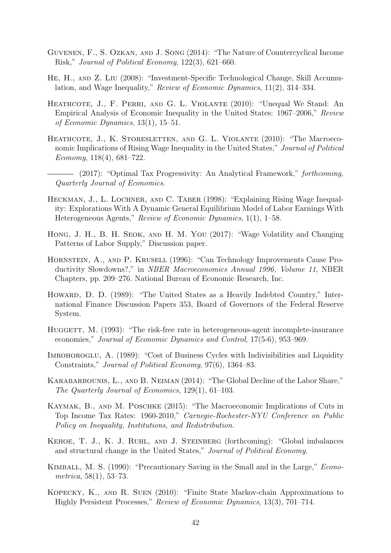- Guvenen, F., S. Ozkan, and J. Song (2014): "The Nature of Countercyclical Income Risk," Journal of Political Economy, 122(3), 621–660.
- He, H., and Z. Liu (2008): "Investment-Specific Technological Change, Skill Accumulation, and Wage Inequality," Review of Economic Dynamics, 11(2), 314–334.
- HEATHCOTE, J., F. PERRI, AND G. L. VIOLANTE (2010): "Unequal We Stand: An Empirical Analysis of Economic Inequality in the United States: 1967–2006," Review of Economic Dynamics, 13(1), 15–51.
- HEATHCOTE, J., K. STORESLETTEN, AND G. L. VIOLANTE (2010): "The Macroeconomic Implications of Rising Wage Inequality in the United States," Journal of Political Economy, 118(4), 681–722.
- (2017): "Optimal Tax Progressivity: An Analytical Framework," forthcoming, Quarterly Journal of Economics.
- HECKMAN, J., L. LOCHNER, AND C. TABER (1998): "Explaining Rising Wage Inequality: Explorations With A Dynamic General Equilibrium Model of Labor Earnings With Heterogeneous Agents," Review of Economic Dynamics, 1(1), 1–58.
- Hong, J. H., B. H. Seok, and H. M. You (2017): "Wage Volatility and Changing Patterns of Labor Supply," Discussion paper.
- Hornstein, A., and P. Krusell (1996): "Can Technology Improvements Cause Productivity Slowdowns?," in NBER Macroeconomics Annual 1996, Volume 11, NBER Chapters, pp. 209–276. National Bureau of Economic Research, Inc.
- HOWARD, D. D. (1989): "The United States as a Heavily Indebted Country," International Finance Discussion Papers 353, Board of Governors of the Federal Reserve System.
- HUGGETT, M. (1993): "The risk-free rate in heterogeneous-agent incomplete-insurance economies," Journal of Economic Dynamics and Control, 17(5-6), 953–969.
- IMROHOROGLU, A. (1989): "Cost of Business Cycles with Indivisibilities and Liquidity Constraints," Journal of Political Economy, 97(6), 1364–83.
- Karabarbounis, L., and B. Neiman (2014): "The Global Decline of the Labor Share," The Quarterly Journal of Economics, 129(1), 61–103.
- KAYMAK, B., AND M. POSCHKE (2015): "The Macroeconomic Implications of Cuts in Top Income Tax Rates: 1960-2010," Carnegie-Rochester-NYU Conference on Public Policy on Inequality, Institutions, and Redistribution.
- Kehoe, T. J., K. J. Ruhl, and J. Steinberg (forthcoming): "Global imbalances and structural change in the United States," Journal of Political Economy.
- KIMBALL, M. S. (1990): "Precautionary Saving in the Small and in the Large," *Econo*metrica, 58(1), 53–73.
- Kopecky, K., and R. Suen (2010): "Finite State Markov-chain Approximations to Highly Persistent Processes," Review of Economic Dynamics, 13(3), 701–714.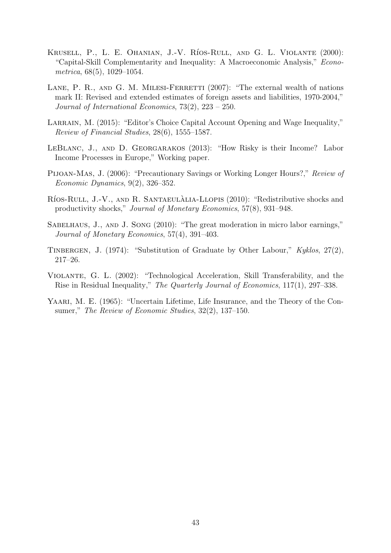- KRUSELL, P., L. E. OHANIAN, J.-V. RÍOS-RULL, AND G. L. VIOLANTE (2000): "Capital-Skill Complementarity and Inequality: A Macroeconomic Analysis," Econometrica, 68(5), 1029–1054.
- LANE, P. R., AND G. M. MILESI-FERRETTI  $(2007)$ : "The external wealth of nations mark II: Revised and extended estimates of foreign assets and liabilities, 1970-2004," Journal of International Economics, 73(2), 223 – 250.
- LARRAIN, M. (2015): "Editor's Choice Capital Account Opening and Wage Inequality," Review of Financial Studies, 28(6), 1555–1587.
- LeBlanc, J., and D. Georgarakos (2013): "How Risky is their Income? Labor Income Processes in Europe," Working paper.
- Pijoan-Mas, J. (2006): "Precautionary Savings or Working Longer Hours?," Review of Economic Dynamics, 9(2), 326–352.
- RÍOS-RULL, J.-V., AND R. SANTAEULALIA-LLOPIS (2010): "Redistributive shocks and productivity shocks," Journal of Monetary Economics, 57(8), 931–948.
- SABELHAUS, J., AND J. SONG (2010): "The great moderation in micro labor earnings," Journal of Monetary Economics, 57(4), 391–403.
- TINBERGEN, J. (1974): "Substitution of Graduate by Other Labour,"  $Kyklos, 27(2)$ , 217–26.
- Violante, G. L. (2002): "Technological Acceleration, Skill Transferability, and the Rise in Residual Inequality," The Quarterly Journal of Economics, 117(1), 297–338.
- YAARI, M. E. (1965): "Uncertain Lifetime, Life Insurance, and the Theory of the Consumer," The Review of Economic Studies, 32(2), 137–150.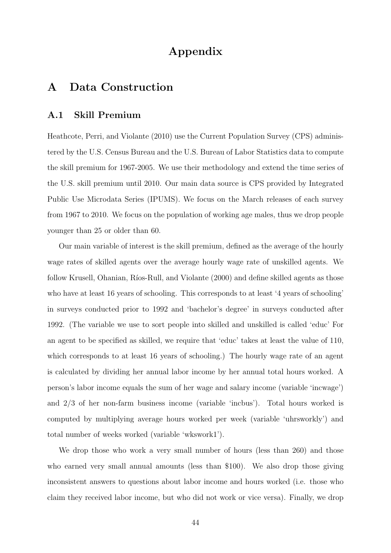## Appendix

## A Data Construction

#### A.1 Skill Premium

Heathcote, Perri, and Violante (2010) use the Current Population Survey (CPS) administered by the U.S. Census Bureau and the U.S. Bureau of Labor Statistics data to compute the skill premium for 1967-2005. We use their methodology and extend the time series of the U.S. skill premium until 2010. Our main data source is CPS provided by Integrated Public Use Microdata Series (IPUMS). We focus on the March releases of each survey from 1967 to 2010. We focus on the population of working age males, thus we drop people younger than 25 or older than 60.

Our main variable of interest is the skill premium, defined as the average of the hourly wage rates of skilled agents over the average hourly wage rate of unskilled agents. We follow Krusell, Ohanian, Ríos-Rull, and Violante (2000) and define skilled agents as those who have at least 16 years of schooling. This corresponds to at least '4 years of schooling' in surveys conducted prior to 1992 and 'bachelor's degree' in surveys conducted after 1992. (The variable we use to sort people into skilled and unskilled is called 'educ' For an agent to be specified as skilled, we require that 'educ' takes at least the value of 110, which corresponds to at least 16 years of schooling.) The hourly wage rate of an agent is calculated by dividing her annual labor income by her annual total hours worked. A person's labor income equals the sum of her wage and salary income (variable 'incwage') and 2/3 of her non-farm business income (variable 'incbus'). Total hours worked is computed by multiplying average hours worked per week (variable 'uhrsworkly') and total number of weeks worked (variable 'wkswork1').

We drop those who work a very small number of hours (less than 260) and those who earned very small annual amounts (less than \$100). We also drop those giving inconsistent answers to questions about labor income and hours worked (i.e. those who claim they received labor income, but who did not work or vice versa). Finally, we drop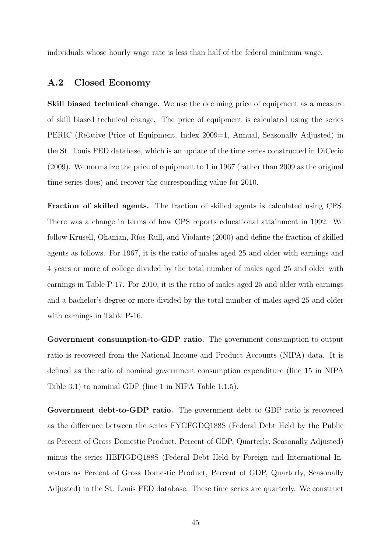individuals whose hourly wage rate is less than half of the federal minimum wage.

#### A.2 Closed Economy

Skill biased technical change. We use the declining price of equipment as a measure of skill biased technical change. The price of equipment is calculated using the series PERIC (Relative Price of Equipment, Index 2009 = 1, Annual, Seasonally Adjusted) in the St. Louis FED database, which is an update of the time series constructed in DiCecio (2009). We normalize the price of equipment to 1 in 1967 (rather than 2009 as the original time-series does) and recover the corresponding value for 2010.

Fraction of skilled agents. The fraction of skilled agents is calculated using CPS. There was a change in terms of how CPS reports educational attainment in 1992. We follow Krusell, Ohanian, Ríos-Rull, and Violante (2000) and define the fraction of skilled agents as follows. For 1967, it is the ratio of males aged 25 and older with earnings and 4 years or more of college divided by the total number of males aged 25 and older with earnings in Table P-17. For 2010, it is the ratio of males aged 25 and older with earnings and a bachelor's degree or more divided by the total number of males aged 25 and older with earnings in Table P-16.

Government consumption-to-GDP ratio. The government consumption-to-output ratio is recovered from the National Income and Product Accounts (NIPA) data. It is defined as the ratio of nominal government consumption expenditure (line 15 in NIPA Table 3.1) to nominal GDP (line 1 in NIPA Table 1.1.5).

Government debt-to-GDP ratio. The government debt to GDP ratio is recovered as the difference between the series FYGFGDQ188S (Federal Debt Held by the Public as Percent of Gross Domestic Product, Percent of GDP, Quarterly, Seasonally Adjusted) minus the series HBFIGDQ188S (Federal Debt Held by Foreign and International Investors as Percent of Gross Domestic Product, Percent of GDP, Quarterly, Seasonally Adjusted) in the St. Louis FED database. These time series are quarterly. We construct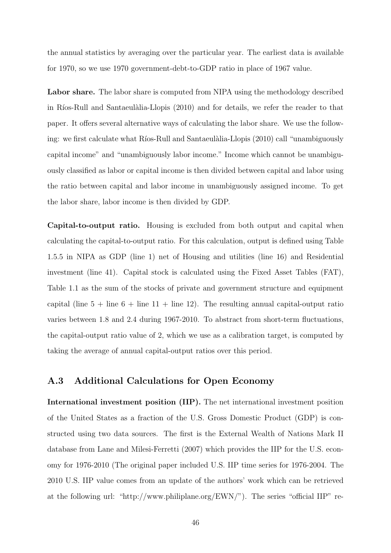the annual statistics by averaging over the particular year. The earliest data is available for 1970, so we use 1970 government-debt-to-GDP ratio in place of 1967 value.

Labor share. The labor share is computed from NIPA using the methodology described in Ríos-Rull and Santaeulàlia-Llopis (2010) and for details, we refer the reader to that paper. It offers several alternative ways of calculating the labor share. We use the following: we first calculate what Ríos-Rull and Santaeulàlia-Llopis (2010) call "unambiguously capital income" and "unambiguously labor income." Income which cannot be unambiguously classified as labor or capital income is then divided between capital and labor using the ratio between capital and labor income in unambiguously assigned income. To get the labor share, labor income is then divided by GDP.

Capital-to-output ratio. Housing is excluded from both output and capital when calculating the capital-to-output ratio. For this calculation, output is defined using Table 1.5.5 in NIPA as GDP (line 1) net of Housing and utilities (line 16) and Residential investment (line 41). Capital stock is calculated using the Fixed Asset Tables (FAT), Table 1.1 as the sum of the stocks of private and government structure and equipment capital (line  $5 + \text{line } 6 + \text{line } 11 + \text{line } 12$ ). The resulting annual capital-output ratio varies between 1.8 and 2.4 during 1967-2010. To abstract from short-term fluctuations, the capital-output ratio value of 2, which we use as a calibration target, is computed by taking the average of annual capital-output ratios over this period.

#### A.3 Additional Calculations for Open Economy

International investment position (IIP). The net international investment position of the United States as a fraction of the U.S. Gross Domestic Product (GDP) is constructed using two data sources. The first is the External Wealth of Nations Mark II database from Lane and Milesi-Ferretti (2007) which provides the IIP for the U.S. economy for 1976-2010 (The original paper included U.S. IIP time series for 1976-2004. The 2010 U.S. IIP value comes from an update of the authors' work which can be retrieved at the following url: "http://www.philiplane.org/EWN/"). The series "official IIP" re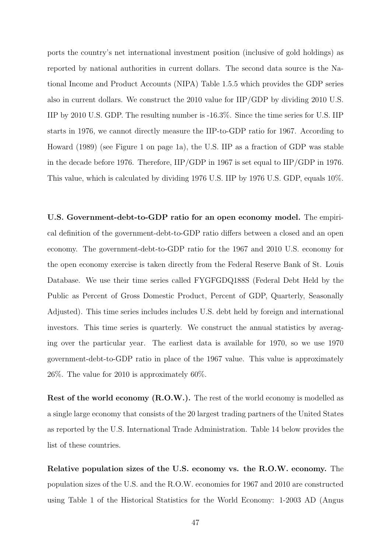ports the country's net international investment position (inclusive of gold holdings) as reported by national authorities in current dollars. The second data source is the National Income and Product Accounts (NIPA) Table 1.5.5 which provides the GDP series also in current dollars. We construct the 2010 value for IIP/GDP by dividing 2010 U.S. IIP by 2010 U.S. GDP. The resulting number is -16.3%. Since the time series for U.S. IIP starts in 1976, we cannot directly measure the IIP-to-GDP ratio for 1967. According to Howard (1989) (see Figure 1 on page 1a), the U.S. IIP as a fraction of GDP was stable in the decade before 1976. Therefore, IIP/GDP in 1967 is set equal to IIP/GDP in 1976. This value, which is calculated by dividing 1976 U.S. IIP by 1976 U.S. GDP, equals 10%.

U.S. Government-debt-to-GDP ratio for an open economy model. The empirical definition of the government-debt-to-GDP ratio differs between a closed and an open economy. The government-debt-to-GDP ratio for the 1967 and 2010 U.S. economy for the open economy exercise is taken directly from the Federal Reserve Bank of St. Louis Database. We use their time series called FYGFGDQ188S (Federal Debt Held by the Public as Percent of Gross Domestic Product, Percent of GDP, Quarterly, Seasonally Adjusted). This time series includes includes U.S. debt held by foreign and international investors. This time series is quarterly. We construct the annual statistics by averaging over the particular year. The earliest data is available for 1970, so we use 1970 government-debt-to-GDP ratio in place of the 1967 value. This value is approximately 26%. The value for 2010 is approximately 60%.

Rest of the world economy (R.O.W.). The rest of the world economy is modelled as a single large economy that consists of the 20 largest trading partners of the United States as reported by the U.S. International Trade Administration. Table 14 below provides the list of these countries.

Relative population sizes of the U.S. economy vs. the R.O.W. economy. The population sizes of the U.S. and the R.O.W. economies for 1967 and 2010 are constructed using Table 1 of the Historical Statistics for the World Economy: 1-2003 AD (Angus